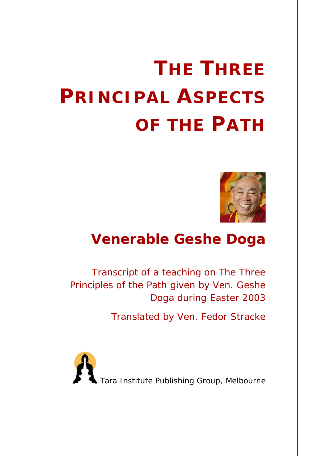# **THE THREE PRINCIPAL ASPECTS OF THE PATH**



# **Venerable Geshe Doga**

*Transcript of a teaching on* The Three Principles of the Path *given by Ven. Geshe Doga during Easter 2003*

*Translated by Ven. Fedor Stracke*

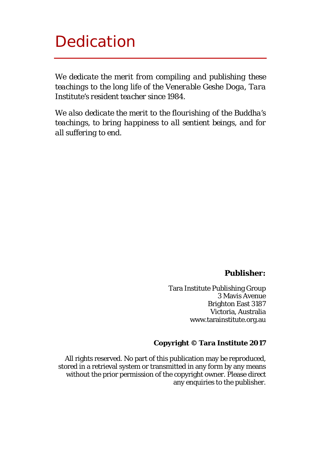# Dedication

*We dedicate the merit from compiling and publishing these teachings to the long life of the Venerable Geshe Doga, Tara Institute's resident teacher since 1984.*

*We also dedicate the merit to the flourishing of the Buddha's teachings, to bring happiness to all sentient beings, and for all suffering to end.*

#### **Publisher:**

Tara Institute Publishing Group 3 Mavis Avenue Brighton East 3187 Victoria, Australia www.tarainstitute.org.au

#### **Copyright © Tara Institute 2017**

All rights reserved. No part of this publication may be reproduced, stored in a retrieval system or transmitted in any form by any means without the prior permission of the copyright owner. Please direct any enquiries to the publisher.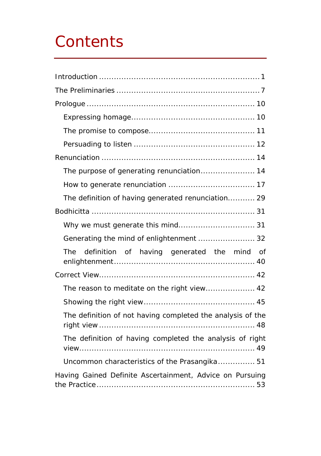# **Contents**

| The purpose of generating renunciation 14                  |
|------------------------------------------------------------|
|                                                            |
| The definition of having generated renunciation 29         |
|                                                            |
| Why we must generate this mind 31                          |
| Generating the mind of enlightenment  32                   |
| definition of having generated the mind of<br>The          |
|                                                            |
| The reason to meditate on the right view 42                |
|                                                            |
| The definition of not having completed the analysis of the |
| The definition of having completed the analysis of right   |
| Uncommon characteristics of the Prasangika 51              |
| Having Gained Definite Ascertainment, Advice on Pursuing   |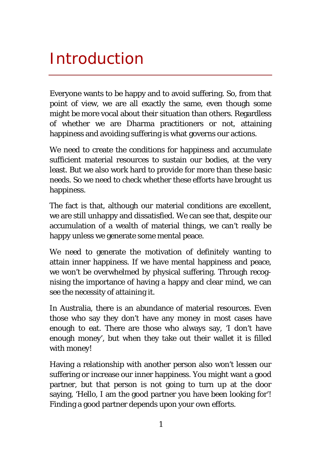# <span id="page-3-0"></span>Introduction

Everyone wants to be happy and to avoid suffering. So, from that point of view, we are all exactly the same, even though some might be more vocal about their situation than others. Regardless of whether we are Dharma practitioners or not, attaining happiness and avoiding suffering is what governs our actions.

We need to create the conditions for happiness and accumulate sufficient material resources to sustain our bodies, at the very least. But we also work hard to provide for more than these basic needs. So we need to check whether these efforts have brought us happiness.

The fact is that, although our material conditions are excellent, we are still unhappy and dissatisfied. We can see that, despite our accumulation of a wealth of material things, we can't really be happy unless we generate some mental peace.

We need to generate the motivation of definitely wanting to attain inner happiness. If we have mental happiness and peace, we won't be overwhelmed by physical suffering. Through recognising the importance of having a happy and clear mind, we can see the necessity of attaining it.

In Australia, there is an abundance of material resources. Even those who say they don't have any money in most cases have enough to eat. There are those who always say, 'I don't have enough money', but when they take out their wallet it is filled with money!

Having a relationship with another person also won't lessen our suffering or increase our inner happiness. You might want a good partner, but that person is not going to turn up at the door saying, 'Hello, I am the good partner you have been looking for'! Finding a good partner depends upon your own efforts.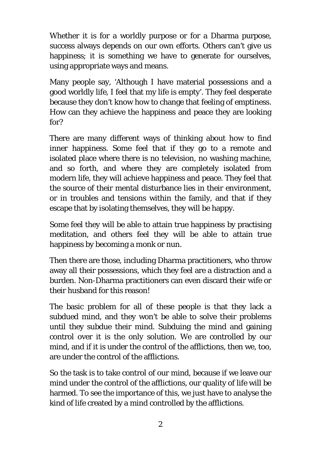Whether it is for a worldly purpose or for a Dharma purpose, success always depends on our own efforts. Others can't give us happiness; it is something we have to generate for ourselves, using appropriate ways and means.

Many people say, 'Although I have material possessions and a good worldly life, I feel that my life is empty'. They feel desperate because they don't know how to change that feeling of emptiness. How can they achieve the happiness and peace they are looking for?

There are many different ways of thinking about how to find inner happiness. Some feel that if they go to a remote and isolated place where there is no television, no washing machine, and so forth, and where they are completely isolated from modern life, they will achieve happiness and peace. They feel that the source of their mental disturbance lies in their environment, or in troubles and tensions within the family, and that if they escape that by isolating themselves, they will be happy.

Some feel they will be able to attain true happiness by practising meditation, and others feel they will be able to attain true happiness by becoming a monk or nun.

Then there are those, including Dharma practitioners, who throw away all their possessions, which they feel are a distraction and a burden. Non-Dharma practitioners can even discard their wife or their husband for this reason!

The basic problem for all of these people is that they lack a subdued mind, and they won't be able to solve their problems until they subdue their mind. Subduing the mind and gaining control over it is the only solution. We are controlled by our mind, and if it is under the control of the afflictions, then we, too, are under the control of the afflictions.

So the task is to take control of our mind, because if we leave our mind under the control of the afflictions, our quality of life will be harmed. To see the importance of this, we just have to analyse the kind of life created by a mind controlled by the afflictions.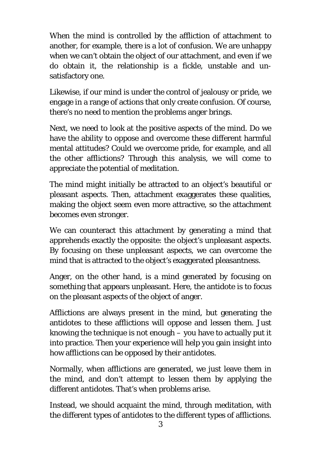When the mind is controlled by the affliction of attachment to another, for example, there is a lot of confusion. We are unhappy when we can't obtain the object of our attachment, and even if we do obtain it, the relationship is a fickle, unstable and unsatisfactory one.

Likewise, if our mind is under the control of jealousy or pride, we engage in a range of actions that only create confusion. Of course, there's no need to mention the problems anger brings.

Next, we need to look at the positive aspects of the mind. Do we have the ability to oppose and overcome these different harmful mental attitudes? Could we overcome pride, for example, and all the other afflictions? Through this analysis, we will come to appreciate the potential of meditation.

The mind might initially be attracted to an object's beautiful or pleasant aspects. Then, attachment exaggerates these qualities, making the object seem even more attractive, so the attachment becomes even stronger.

We can counteract this attachment by generating a mind that apprehends exactly the opposite: the object's unpleasant aspects. By focusing on these unpleasant aspects, we can overcome the mind that is attracted to the object's exaggerated pleasantness.

Anger, on the other hand, is a mind generated by focusing on something that appears unpleasant. Here, the antidote is to focus on the pleasant aspects of the object of anger.

Afflictions are always present in the mind, but generating the antidotes to these afflictions will oppose and lessen them. Just knowing the technique is not enough – you have to actually put it into practice. Then your experience will help you gain insight into how afflictions can be opposed by their antidotes.

Normally, when afflictions are generated, we just leave them in the mind, and don't attempt to lessen them by applying the different antidotes. That's when problems arise.

Instead, we should acquaint the mind, through meditation, with the different types of antidotes to the different types of afflictions.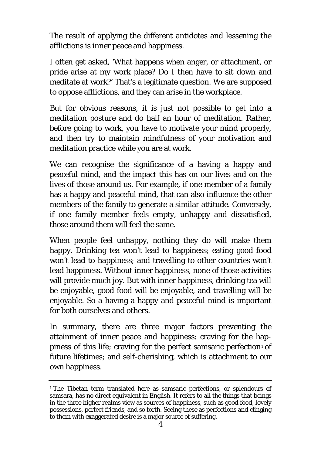The result of applying the different antidotes and lessening the afflictions is inner peace and happiness.

I often get asked, 'What happens when anger, or attachment, or pride arise at my work place? Do I then have to sit down and meditate at work?' That's a legitimate question. We are supposed to oppose afflictions, and they can arise in the workplace.

But for obvious reasons, it is just not possible to get into a meditation posture and do half an hour of meditation. Rather, before going to work, you have to motivate your mind properly, and then try to maintain mindfulness of your motivation and meditation practice while you are at work.

We can recognise the significance of a having a happy and peaceful mind, and the impact this has on our lives and on the lives of those around us. For example, if one member of a family has a happy and peaceful mind, that can also influence the other members of the family to generate a similar attitude. Conversely, if one family member feels empty, unhappy and dissatisfied, those around them will feel the same.

When people feel unhappy, nothing they do will make them happy. Drinking tea won't lead to happiness; eating good food won't lead to happiness; and travelling to other countries won't lead happiness. Without inner happiness, none of those activities will provide much joy. But with inner happiness, drinking tea will be enjoyable, good food will be enjoyable, and travelling will be enjoyable. So a having a happy and peaceful mind is important for both ourselves and others.

In summary, there are three major factors preventing the attainment of inner peace and happiness: craving for the hap-piness of this life; craving for the perfect samsaric perfection<sup>[1](#page-6-0)</sup> of future lifetimes; and self-cherishing, which is attachment to our own happiness.

<span id="page-6-0"></span><sup>&</sup>lt;sup>1</sup> The Tibetan term translated here as samsaric perfections, or splendours of samsara, has no direct equivalent in English. It refers to all the things that beings in the three higher realms view as sources of happiness, such as good food, lovely possessions, perfect friends, and so forth. Seeing these as perfections and clinging to them with exaggerated desire is a major source of suffering.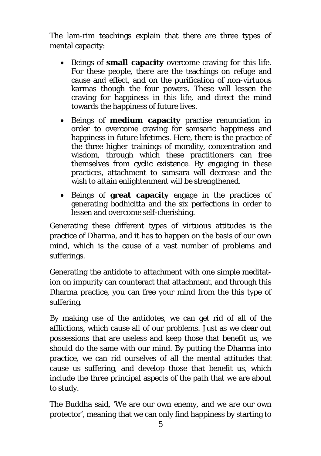The lam-rim teachings explain that there are three types of mental capacity:

- Beings of **small capacity** overcome craving for this life. For these people, there are the teachings on refuge and cause and effect, and on the purification of non-virtuous karmas though the four powers. These will lessen the craving for happiness in this life, and direct the mind towards the happiness of future lives.
- Beings of **medium capacity** practise renunciation in order to overcome craving for samsaric happiness and happiness in future lifetimes. Here, there is the practice of the three higher trainings of morality, concentration and wisdom, through which these practitioners can free themselves from cyclic existence. By engaging in these practices, attachment to samsara will decrease and the wish to attain enlightenment will be strengthened.
- Beings of **great capacity** engage in the practices of generating bodhicitta and the six perfections in order to lessen and overcome self-cherishing.

Generating these different types of virtuous attitudes is the practice of Dharma, and it has to happen on the basis of our own mind, which is the cause of a vast number of problems and sufferings.

Generating the antidote to attachment with one simple meditation on impurity can counteract that attachment, and through this Dharma practice, you can free your mind from the this type of suffering.

By making use of the antidotes, we can get rid of all of the afflictions, which cause all of our problems. Just as we clear out possessions that are useless and keep those that benefit us, we should do the same with our mind. By putting the Dharma into practice, we can rid ourselves of all the mental attitudes that cause us suffering, and develop those that benefit us, which include the three principal aspects of the path that we are about to study.

The Buddha said, 'We are our own enemy, and we are our own protector', meaning that we can only find happiness by starting to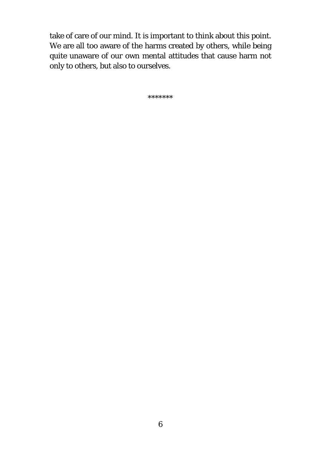take of care of our mind. It is important to think about this point. We are all too aware of the harms created by others, while being quite unaware of our own mental attitudes that cause harm not only to others, but also to ourselves.

\*\*\*\*\*\*\*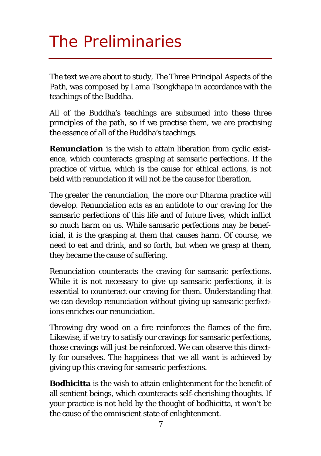# <span id="page-9-0"></span>The Preliminaries

The text we are about to study, *The Three Principal Aspects of the Path,* was composed by Lama Tsongkhapa in accordance with the teachings of the Buddha.

All of the Buddha's teachings are subsumed into these three principles of the path, so if we practise them, we are practising the essence of all of the Buddha's teachings.

**Renunciation** is the wish to attain liberation from cyclic existence, which counteracts grasping at samsaric perfections. If the practice of virtue, which is the cause for ethical actions, is not held with renunciation it will not be the cause for liberation.

The greater the renunciation, the more our Dharma practice will develop. Renunciation acts as an antidote to our craving for the samsaric perfections of this life and of future lives, which inflict so much harm on us. While samsaric perfections may be beneficial, it is the grasping at them that causes harm. Of course, we need to eat and drink, and so forth, but when we grasp at them, they became the cause of suffering.

Renunciation counteracts the craving for samsaric perfections. While it is not necessary to give up samsaric perfections, it is essential to counteract our craving for them. Understanding that we can develop renunciation without giving up samsaric perfections enriches our renunciation.

Throwing dry wood on a fire reinforces the flames of the fire. Likewise, if we try to satisfy our cravings for samsaric perfections, those cravings will just be reinforced. We can observe this directly for ourselves. The happiness that we all want is achieved by giving up this craving for samsaric perfections.

**Bodhicitta** is the wish to attain enlightenment for the benefit of all sentient beings, which counteracts self-cherishing thoughts. If your practice is not held by the thought of bodhicitta, it won't be the cause of the omniscient state of enlightenment.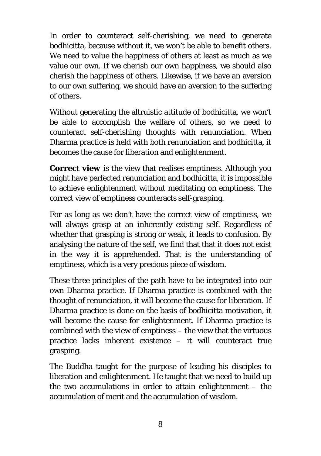In order to counteract self-cherishing, we need to generate bodhicitta, because without it, we won't be able to benefit others. We need to value the happiness of others at least as much as we value our own. If we cherish our own happiness, we should also cherish the happiness of others. Likewise, if we have an aversion to our own suffering, we should have an aversion to the suffering of others.

Without generating the altruistic attitude of bodhicitta, we won't be able to accomplish the welfare of others, so we need to counteract self-cherishing thoughts with renunciation. When Dharma practice is held with both renunciation and bodhicitta, it becomes the cause for liberation and enlightenment.

**Correct view** is the view that realises emptiness. Although you might have perfected renunciation and bodhicitta, it is impossible to achieve enlightenment without meditating on emptiness. The correct view of emptiness counteracts self-grasping.

For as long as we don't have the correct view of emptiness, we will always grasp at an inherently existing self. Regardless of whether that grasping is strong or weak, it leads to confusion. By analysing the nature of the self, we find that that it does not exist in the way it is apprehended. That is the understanding of emptiness, which is a very precious piece of wisdom.

These three principles of the path have to be integrated into our own Dharma practice. If Dharma practice is combined with the thought of renunciation, it will become the cause for liberation. If Dharma practice is done on the basis of bodhicitta motivation, it will become the cause for enlightenment. If Dharma practice is combined with the view of emptiness – the view that the virtuous practice lacks inherent existence – it will counteract true grasping.

The Buddha taught for the purpose of leading his disciples to liberation and enlightenment. He taught that we need to build up the two accumulations in order to attain enlightenment – the accumulation of merit and the accumulation of wisdom.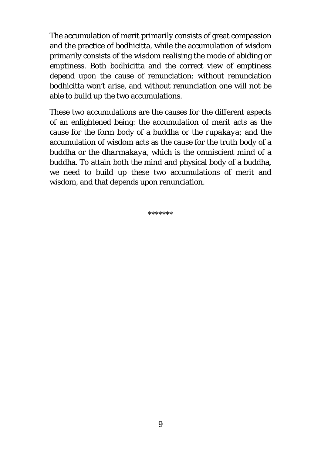The accumulation of merit primarily consists of great compassion and the practice of bodhicitta, while the accumulation of wisdom primarily consists of the wisdom realising the mode of abiding or emptiness. Both bodhicitta and the correct view of emptiness depend upon the cause of renunciation: without renunciation bodhicitta won't arise, and without renunciation one will not be able to build up the two accumulations.

These two accumulations are the causes for the different aspects of an enlightened being: the accumulation of merit acts as the cause for the form body of a buddha or the *rupakaya*; and the accumulation of wisdom acts as the cause for the truth body of a buddha or the *dharmakaya*, which is the omniscient mind of a buddha. To attain both the mind and physical body of a buddha, we need to build up these two accumulations of merit and wisdom, and that depends upon renunciation.

\*\*\*\*\*\*\*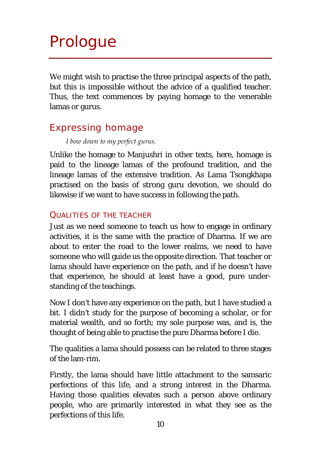# <span id="page-12-0"></span>Prologue

We might wish to practise the three principal aspects of the path. but this is impossible without the advice of a qualified teacher. Thus, the text commences by paying homage to the venerable lamas or gurus.

# <span id="page-12-1"></span>Expressing homage

#### *I bow down to my perfect gurus.*

Unlike the homage to Manjushri in other texts, here, homage is paid to the lineage lamas of the profound tradition, and the lineage lamas of the extensive tradition. As Lama Tsongkhapa practised on the basis of strong guru devotion, we should do likewise if we want to have success in following the path.

#### QUALITIES OF THE TEACHER

Just as we need someone to teach us how to engage in ordinary activities, it is the same with the practice of Dharma. If we are about to enter the road to the lower realms, we need to have someone who will guide us the opposite direction. That teacher or lama should have experience on the path, and if he doesn't have that experience, he should at least have a good, pure understanding of the teachings.

Now I don't have any experience on the path, but I have studied a bit. I didn't study for the purpose of becoming a scholar, or for material wealth, and so forth; my sole purpose was, and is, the thought of being able to practise the pure Dharma before I die.

The qualities a lama should possess can be related to three stages of the lam-rim.

Firstly, the lama should have little attachment to the samsaric perfections of this life, and a strong interest in the Dharma. Having those qualities elevates such a person above ordinary people, who are primarily interested in what they see as the perfections of this life.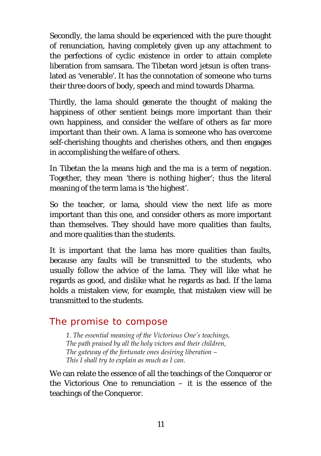Secondly, the lama should be experienced with the pure thought of renunciation, having completely given up any attachment to the perfections of cyclic existence in order to attain complete liberation from samsara. The Tibetan word *jetsun* is often translated as 'venerable'. It has the connotation of someone who turns their three doors of body, speech and mind towards Dharma.

Thirdly, the lama should generate the thought of making the happiness of other sentient beings more important than their own happiness, and consider the welfare of others as far more important than their own. A lama is someone who has overcome self-cherishing thoughts and cherishes others, and then engages in accomplishing the welfare of others.

In Tibetan the *la* means high and the *ma* is a term of negation. Together, they mean 'there is nothing higher'; thus the literal meaning of the term lama is 'the highest'.

So the teacher, or lama, should view the next life as more important than this one, and consider others as more important than themselves. They should have more qualities than faults, and more qualities than the students.

It is important that the lama has more qualities than faults, because any faults will be transmitted to the students, who usually follow the advice of the lama. They will like what he regards as good, and dislike what he regards as bad. If the lama holds a mistaken view, for example, that mistaken view will be transmitted to the students.

# <span id="page-13-0"></span>The promise to compose

*1. The essential meaning of the Victorious One's teachings, The path praised by all the holy victors and their children, The gateway of the fortunate ones desiring liberation – This I shall try to explain as much as I can.* 

We can relate the essence of all the teachings of the Conqueror or the Victorious One to renunciation  $-$  it is the essence of the teachings of the Conqueror.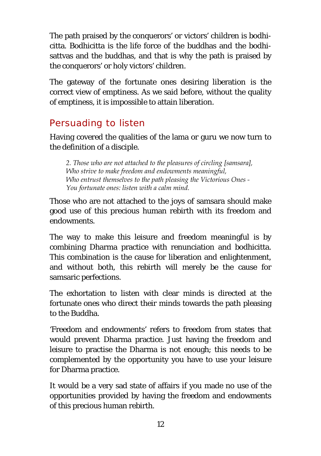The path praised by the conquerors' or victors' children is bodhicitta. Bodhicitta is the life force of the buddhas and the bodhisattvas and the buddhas, and that is why the path is praised by the conquerors' or holy victors' children.

The gateway of the fortunate ones desiring liberation is the correct view of emptiness. As we said before, without the quality of emptiness, it is impossible to attain liberation.

# <span id="page-14-0"></span>Persuading to listen

Having covered the qualities of the lama or guru we now turn to the definition of a disciple.

*2. Those who are not attached to the pleasures of circling [samsara], Who strive to make freedom and endowments meaningful, Who entrust themselves to the path pleasing the Victorious Ones - You fortunate ones: listen with a calm mind.*

Those who are not attached to the joys of samsara should make good use of this precious human rebirth with its freedom and endowments.

The way to make this leisure and freedom meaningful is by combining Dharma practice with renunciation and bodhicitta. This combination is the cause for liberation and enlightenment, and without both, this rebirth will merely be the cause for samsaric perfections.

The exhortation to listen with clear minds is directed at the fortunate ones who direct their minds towards the path pleasing to the Buddha.

'Freedom and endowments' refers to freedom from states that would prevent Dharma practice. Just having the freedom and leisure to practise the Dharma is not enough; this needs to be complemented by the opportunity you have to use your leisure for Dharma practice.

It would be a very sad state of affairs if you made no use of the opportunities provided by having the freedom and endowments of this precious human rebirth.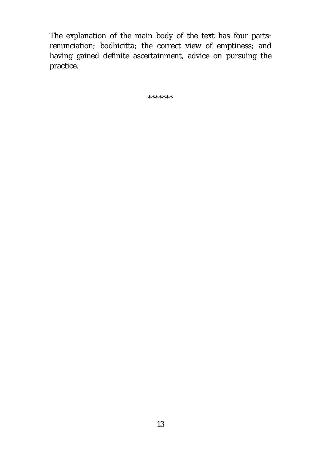The explanation of the main body of the text has four parts: renunciation; bodhicitta; the correct view of emptiness; and having gained definite ascertainment, advice on pursuing the practice.

\*\*\*\*\*\*\*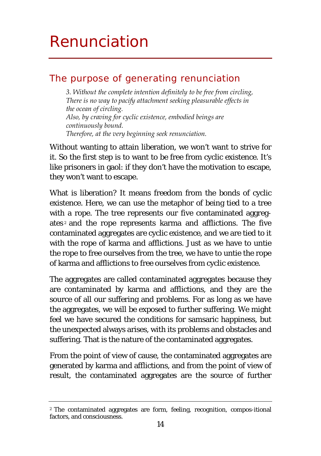# <span id="page-16-0"></span>Renunciation

## <span id="page-16-1"></span>The purpose of generating renunciation

*3. Without the complete intention definitely to be free from circling, There is no way to pacify attachment seeking pleasurable effects in the ocean of circling. Also, by craving for cyclic existence, embodied beings are continuously bound. Therefore, at the very beginning seek renunciation.*

Without wanting to attain liberation, we won't want to strive for it. So the first step is to want to be free from cyclic existence. It's like prisoners in gaol: if they don't have the motivation to escape, they won't want to escape.

What is liberation? It means freedom from the bonds of cyclic existence. Here, we can use the metaphor of being tied to a tree with a rope. The tree represents our five contaminated aggreg-ates<sup>[2](#page-16-2)</sup> and the rope represents karma and afflictions. The five contaminated aggregates are cyclic existence, and we are tied to it with the rope of karma and afflictions. Just as we have to untie the rope to free ourselves from the tree, we have to untie the rope of karma and afflictions to free ourselves from cyclic existence.

The aggregates are called contaminated aggregates because they are contaminated by karma and afflictions, and they are the source of all our suffering and problems. For as long as we have the aggregates, we will be exposed to further suffering. We might feel we have secured the conditions for samsaric happiness, but the unexpected always arises, with its problems and obstacles and suffering. That is the nature of the contaminated aggregates.

From the point of view of cause, the contaminated aggregates are generated by karma and afflictions, and from the point of view of result, the contaminated aggregates are the source of further

<span id="page-16-2"></span><sup>2</sup> The contaminated aggregates are form, feeling, recognition, compos-itional factors, and consciousness.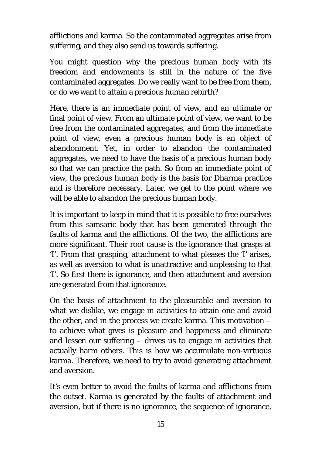afflictions and karma. So the contaminated aggregates arise from suffering, and they also send us towards suffering.

You might question why the precious human body with its freedom and endowments is still in the nature of the five contaminated aggregates. Do we really want to be free from them, or do we want to attain a precious human rebirth?

Here, there is an immediate point of view, and an ultimate or final point of view. From an ultimate point of view, we want to be free from the contaminated aggregates, and from the immediate point of view, even a precious human body is an object of abandonment. Yet, in order to abandon the contaminated aggregates, we need to have the basis of a precious human body so that we can practice the path. So from an immediate point of view, the precious human body is the basis for Dharma practice and is therefore necessary. Later, we get to the point where we will be able to abandon the precious human body.

It is important to keep in mind that it is possible to free ourselves from this samsaric body that has been generated through the faults of karma and the afflictions. Of the two, the afflictions are more significant. Their root cause is the ignorance that grasps at 'I'. From that grasping, attachment to what pleases the 'I' arises, as well as aversion to what is unattractive and unpleasing to that 'I'. So first there is ignorance, and then attachment and aversion are generated from that ignorance.

On the basis of attachment to the pleasurable and aversion to what we dislike, we engage in activities to attain one and avoid the other, and in the process we create karma. This motivation – to achieve what gives is pleasure and happiness and eliminate and lessen our suffering – drives us to engage in activities that actually harm others. This is how we accumulate non-virtuous karma. Therefore, we need to try to avoid generating attachment and aversion.

It's even better to avoid the faults of karma and afflictions from the outset. Karma is generated by the faults of attachment and aversion, but if there is no ignorance, the sequence of ignorance,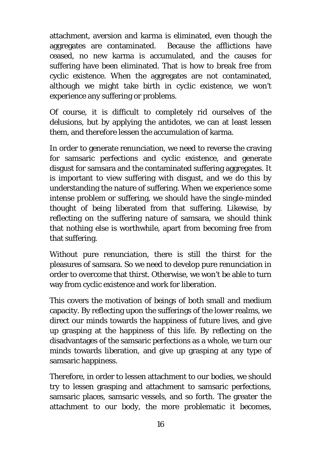attachment, aversion and karma is eliminated, even though the aggregates are contaminated. Because the afflictions have ceased, no new karma is accumulated, and the causes for suffering have been eliminated. That is how to break free from cyclic existence. When the aggregates are not contaminated, although we might take birth in cyclic existence, we won't experience any suffering or problems.

Of course, it is difficult to completely rid ourselves of the delusions, but by applying the antidotes, we can at least lessen them, and therefore lessen the accumulation of karma.

In order to generate renunciation, we need to reverse the craving for samsaric perfections and cyclic existence, and generate disgust for samsara and the contaminated suffering aggregates. It is important to view suffering with disgust, and we do this by understanding the nature of suffering. When we experience some intense problem or suffering, we should have the single-minded thought of being liberated from that suffering. Likewise, by reflecting on the suffering nature of samsara, we should think that nothing else is worthwhile, apart from becoming free from that suffering.

Without pure renunciation, there is still the thirst for the pleasures of samsara. So we need to develop pure renunciation in order to overcome that thirst. Otherwise, we won't be able to turn way from cyclic existence and work for liberation.

This covers the motivation of beings of both small and medium capacity. By reflecting upon the sufferings of the lower realms, we direct our minds towards the happiness of future lives, and give up grasping at the happiness of this life. By reflecting on the disadvantages of the samsaric perfections as a whole, we turn our minds towards liberation, and give up grasping at any type of samsaric happiness.

Therefore, in order to lessen attachment to our bodies, we should try to lessen grasping and attachment to samsaric perfections, samsaric places, samsaric vessels, and so forth. The greater the attachment to our body, the more problematic it becomes,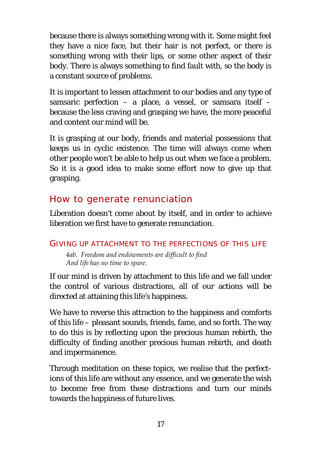because there is always something wrong with it. Some might feel they have a nice face, but their hair is not perfect, or there is something wrong with their lips, or some other aspect of their body. There is always something to find fault with, so the body is a constant source of problems.

It is important to lessen attachment to our bodies and any type of samsaric perfection – a place, a vessel, or samsara itself – because the less craving and grasping we have, the more peaceful and content our mind will be.

It is grasping at our body, friends and material possessions that keeps us in cyclic existence. The time will always come when other people won't be able to help us out when we face a problem. So it is a good idea to make some effort now to give up that grasping.

# <span id="page-19-0"></span>How to generate renunciation

Liberation doesn't come about by itself, and in order to achieve liberation we first have to generate renunciation.

### GIVING UP ATTACHMENT TO THE PERFECTIONS OF THIS LIFE

*4ab. Freedom and endowments are difficult to find And life has no time to spare.*

If our mind is driven by attachment to this life and we fall under the control of various distractions, all of our actions will be directed at attaining this life's happiness.

We have to reverse this attraction to the happiness and comforts of this life – pleasant sounds, friends, fame, and so forth. The way to do this is by reflecting upon the precious human rebirth, the difficulty of finding another precious human rebirth, and death and impermanence.

Through meditation on these topics, we realise that the perfections of this life are without any essence, and we generate the wish to become free from these distractions and turn our minds towards the happiness of future lives.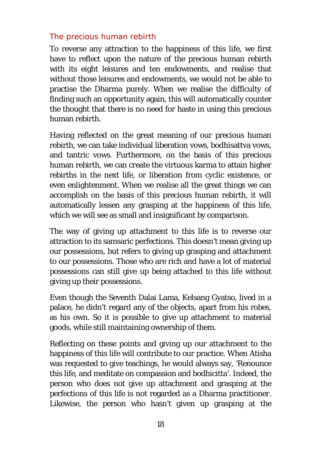#### *The precious human rebirth*

To reverse any attraction to the happiness of this life, we first have to reflect upon the nature of the precious human rebirth with its eight leisures and ten endowments, and realise that without those leisures and endowments, we would not be able to practise the Dharma purely. When we realise the difficulty of finding such an opportunity again, this will automatically counter the thought that there is no need for haste in using this precious human rebirth.

Having reflected on the great meaning of our precious human rebirth, we can take individual liberation vows, bodhisattva vows, and tantric vows. Furthermore, on the basis of this precious human rebirth, we can create the virtuous karma to attain higher rebirths in the next life, or liberation from cyclic existence, or even enlightenment. When we realise all the great things we can accomplish on the basis of this precious human rebirth, it will automatically lessen any grasping at the happiness of this life, which we will see as small and insignificant by comparison.

The way of giving up attachment to this life is to reverse our attraction to its samsaric perfections. This doesn't mean giving up our possessions, but refers to giving up grasping and attachment to our possessions. Those who are rich and have a lot of material possessions can still give up being attached to this life without giving up their possessions.

Even though the Seventh Dalai Lama, Kelsang Gyatso, lived in a palace, he didn't regard any of the objects, apart from his robes, as his own. So it is possible to give up attachment to material goods, while still maintaining ownership of them.

Reflecting on these points and giving up our attachment to the happiness of this life will contribute to our practice. When Atisha was requested to give teachings, he would always say, 'Renounce this life, and meditate on compassion and bodhicitta'. Indeed, the person who does not give up attachment and grasping at the perfections of this life is not regarded as a Dharma practitioner. Likewise, the person who hasn't given up grasping at the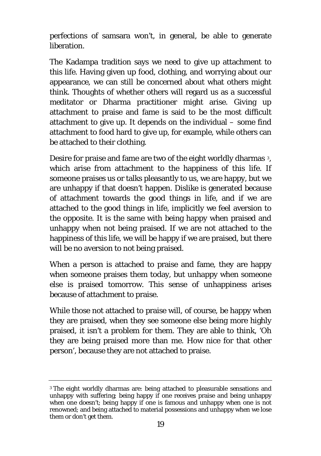perfections of samsara won't, in general, be able to generate liberation.

The Kadampa tradition says we need to give up attachment to this life. Having given up food, clothing, and worrying about our appearance, we can still be concerned about what others might think. Thoughts of whether others will regard us as a successful meditator or Dharma practitioner might arise. Giving up attachment to praise and fame is said to be the most difficult attachment to give up. It depends on the individual – some find attachment to food hard to give up, for example, while others can be attached to their clothing.

Desire for praise and fame are two of the eight worldly dharmas [3](#page-21-0), which arise from attachment to the happiness of this life. If someone praises us or talks pleasantly to us, we are happy, but we are unhappy if that doesn't happen. Dislike is generated because of attachment towards the good things in life, and if we are attached to the good things in life, implicitly we feel aversion to the opposite. It is the same with being happy when praised and unhappy when not being praised. If we are not attached to the happiness of this life, we will be happy if we are praised, but there will be no aversion to not being praised.

When a person is attached to praise and fame, they are happy when someone praises them today, but unhappy when someone else is praised tomorrow. This sense of unhappiness arises because of attachment to praise.

While those not attached to praise will, of course, be happy when they are praised, when they see someone else being more highly praised, it isn't a problem for them. They are able to think, 'Oh they are being praised more than me. How nice for that other person', because they are not attached to praise.

<span id="page-21-0"></span><sup>3</sup> The eight worldly dharmas are: being attached to pleasurable sensations and unhappy with suffering; being happy if one receives praise and being unhappy when one doesn't; being happy if one is famous and unhappy when one is not renowned; and being attached to material possessions and unhappy when we lose them or don't get them.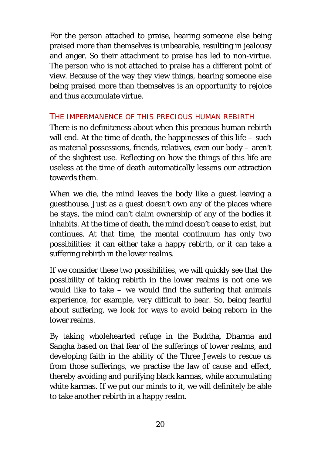For the person attached to praise, hearing someone else being praised more than themselves is unbearable, resulting in jealousy and anger. So their attachment to praise has led to non-virtue. The person who is not attached to praise has a different point of view. Because of the way they view things, hearing someone else being praised more than themselves is an opportunity to rejoice and thus accumulate virtue.

#### THE IMPERMANENCE OF THIS PRECIOUS HUMAN REBIRTH

There is no definiteness about when this precious human rebirth will end. At the time of death, the happinesses of this life – such as material possessions, friends, relatives, even our body – aren't of the slightest use. Reflecting on how the things of this life are useless at the time of death automatically lessens our attraction towards them.

When we die, the mind leaves the body like a guest leaving a guesthouse. Just as a guest doesn't own any of the places where he stays, the mind can't claim ownership of any of the bodies it inhabits. At the time of death, the mind doesn't cease to exist, but continues. At that time, the mental continuum has only two possibilities: it can either take a happy rebirth, or it can take a suffering rebirth in the lower realms.

If we consider these two possibilities, we will quickly see that the possibility of taking rebirth in the lower realms is not one we would like to take  $-$  we would find the suffering that animals experience, for example, very difficult to bear. So, being fearful about suffering, we look for ways to avoid being reborn in the lower realms.

By taking wholehearted refuge in the Buddha, Dharma and Sangha based on that fear of the sufferings of lower realms, and developing faith in the ability of the Three Jewels to rescue us from those sufferings, we practise the law of cause and effect, thereby avoiding and purifying black karmas, while accumulating white karmas. If we put our minds to it, we will definitely be able to take another rebirth in a happy realm.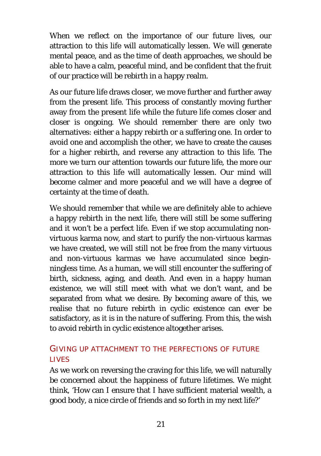When we reflect on the importance of our future lives, our attraction to this life will automatically lessen. We will generate mental peace, and as the time of death approaches, we should be able to have a calm, peaceful mind, and be confident that the fruit of our practice will be rebirth in a happy realm.

As our future life draws closer, we move further and further away from the present life. This process of constantly moving further away from the present life while the future life comes closer and closer is ongoing. We should remember there are only two alternatives: either a happy rebirth or a suffering one. In order to avoid one and accomplish the other, we have to create the causes for a higher rebirth, and reverse any attraction to this life. The more we turn our attention towards our future life, the more our attraction to this life will automatically lessen. Our mind will become calmer and more peaceful and we will have a degree of certainty at the time of death.

We should remember that while we are definitely able to achieve a happy rebirth in the next life, there will still be some suffering and it won't be a perfect life. Even if we stop accumulating nonvirtuous karma now, and start to purify the non-virtuous karmas we have created, we will still not be free from the many virtuous and non-virtuous karmas we have accumulated since beginningless time. As a human, we will still encounter the suffering of birth, sickness, aging, and death. And even in a happy human existence, we will still meet with what we don't want, and be separated from what we desire. By becoming aware of this, we realise that no future rebirth in cyclic existence can ever be satisfactory, as it is in the nature of suffering. From this, the wish to avoid rebirth in cyclic existence altogether arises.

### GIVING UP ATTACHMENT TO THE PERFECTIONS OF FUTURE **LIVES**

As we work on reversing the craving for this life, we will naturally be concerned about the happiness of future lifetimes. We might think, 'How can I ensure that I have sufficient material wealth, a good body, a nice circle of friends and so forth in my next life?'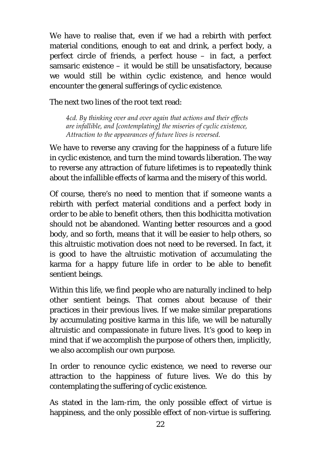We have to realise that, even if we had a rebirth with perfect material conditions, enough to eat and drink, a perfect body, a perfect circle of friends, a perfect house – in fact, a perfect samsaric existence – it would be still be unsatisfactory, because we would still be within cyclic existence, and hence would encounter the general sufferings of cyclic existence.

The next two lines of the root text read:

*4cd. By thinking over and over again that actions and their effects are infallible, and [contemplating] the miseries of cyclic existence, Attraction to the appearances of future lives is reversed.*

We have to reverse any craving for the happiness of a future life in cyclic existence, and turn the mind towards liberation. The way to reverse any attraction of future lifetimes is to repeatedly think about the infallible effects of karma and the misery of this world.

Of course, there's no need to mention that if someone wants a rebirth with perfect material conditions and a perfect body in order to be able to benefit others, then this bodhicitta motivation should not be abandoned. Wanting better resources and a good body, and so forth, means that it will be easier to help others, so this altruistic motivation does not need to be reversed. In fact, it is good to have the altruistic motivation of accumulating the karma for a happy future life in order to be able to benefit sentient beings.

Within this life, we find people who are naturally inclined to help other sentient beings. That comes about because of their practices in their previous lives. If we make similar preparations by accumulating positive karma in this life, we will be naturally altruistic and compassionate in future lives. It's good to keep in mind that if we accomplish the purpose of others then, implicitly, we also accomplish our own purpose.

In order to renounce cyclic existence, we need to reverse our attraction to the happiness of future lives. We do this by contemplating the suffering of cyclic existence.

As stated in the lam-rim, the only possible effect of virtue is happiness, and the only possible effect of non-virtue is suffering.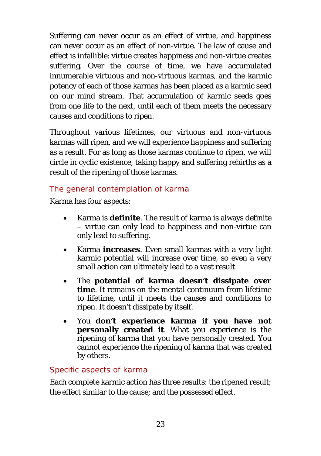Suffering can never occur as an effect of virtue, and happiness can never occur as an effect of non-virtue. The law of cause and effect is infallible: virtue creates happiness and non-virtue creates suffering. Over the course of time, we have accumulated innumerable virtuous and non-virtuous karmas, and the karmic potency of each of those karmas has been placed as a karmic seed on our mind stream. That accumulation of karmic seeds goes from one life to the next, until each of them meets the necessary causes and conditions to ripen.

Throughout various lifetimes, our virtuous and non-virtuous karmas will ripen, and we will experience happiness and suffering as a result. For as long as those karmas continue to ripen, we will circle in cyclic existence, taking happy and suffering rebirths as a result of the ripening of those karmas.

### *The general contemplation of karma*

Karma has four aspects:

- Karma is **definite**. The result of karma is always definite – virtue can only lead to happiness and non-virtue can only lead to suffering.
- Karma **increases**. Even small karmas with a very light karmic potential will increase over time, so even a very small action can ultimately lead to a vast result.
- The **potential of karma doesn't dissipate over time**. It remains on the mental continuum from lifetime to lifetime, until it meets the causes and conditions to ripen. It doesn't dissipate by itself.
- You **don't experience karma if you have not personally created it**. What you experience is the ripening of karma that you have personally created. You cannot experience the ripening of karma that was created by others.

### *Specific aspects of karma*

Each complete karmic action has three results: the ripened result; the effect similar to the cause; and the possessed effect.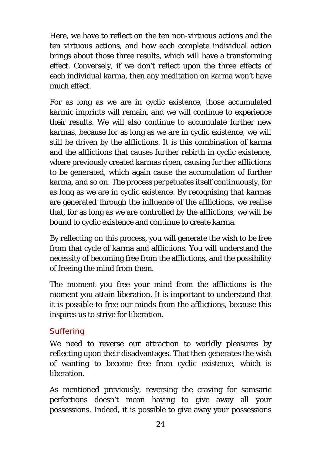Here, we have to reflect on the ten non-virtuous actions and the ten virtuous actions, and how each complete individual action brings about those three results, which will have a transforming effect. Conversely, if we don't reflect upon the three effects of each individual karma, then any meditation on karma won't have much effect.

For as long as we are in cyclic existence, those accumulated karmic imprints will remain, and we will continue to experience their results. We will also continue to accumulate further new karmas, because for as long as we are in cyclic existence, we will still be driven by the afflictions. It is this combination of karma and the afflictions that causes further rebirth in cyclic existence, where previously created karmas ripen, causing further afflictions to be generated, which again cause the accumulation of further karma, and so on. The process perpetuates itself continuously, for as long as we are in cyclic existence. By recognising that karmas are generated through the influence of the afflictions, we realise that, for as long as we are controlled by the afflictions, we will be bound to cyclic existence and continue to create karma.

By reflecting on this process, you will generate the wish to be free from that cycle of karma and afflictions. You will understand the necessity of becoming free from the afflictions, and the possibility of freeing the mind from them.

The moment you free your mind from the afflictions is the moment you attain liberation. It is important to understand that it is possible to free our minds from the afflictions, because this inspires us to strive for liberation.

#### *Suffering*

We need to reverse our attraction to worldly pleasures by reflecting upon their disadvantages. That then generates the wish of wanting to become free from cyclic existence, which is liberation.

As mentioned previously, reversing the craving for samsaric perfections doesn't mean having to give away all your possessions. Indeed, it is possible to give away your possessions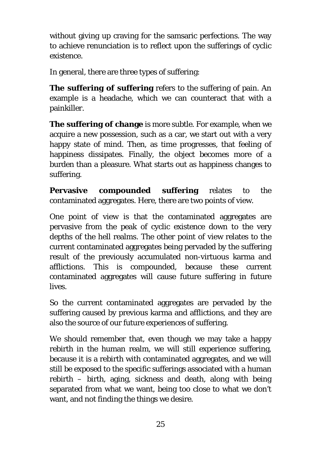without giving up craving for the samsaric perfections. The way to achieve renunciation is to reflect upon the sufferings of cyclic existence.

In general, there are three types of suffering:

**The suffering of suffering** refers to the suffering of pain. An example is a headache, which we can counteract that with a painkiller.

**The suffering of change** is more subtle. For example, when we acquire a new possession, such as a car, we start out with a very happy state of mind. Then, as time progresses, that feeling of happiness dissipates. Finally, the object becomes more of a burden than a pleasure. What starts out as happiness changes to suffering.

**Pervasive compounded suffering** relates to the contaminated aggregates. Here, there are two points of view.

One point of view is that the contaminated aggregates are pervasive from the peak of cyclic existence down to the very depths of the hell realms. The other point of view relates to the current contaminated aggregates being pervaded by the suffering result of the previously accumulated non-virtuous karma and afflictions. This is compounded, because these current contaminated aggregates will cause future suffering in future lives.

So the current contaminated aggregates are pervaded by the suffering caused by previous karma and afflictions, and they are also the source of our future experiences of suffering.

We should remember that, even though we may take a happy rebirth in the human realm, we will still experience suffering, because it is a rebirth with contaminated aggregates, and we will still be exposed to the specific sufferings associated with a human rebirth – birth, aging, sickness and death, along with being separated from what we want, being too close to what we don't want, and not finding the things we desire.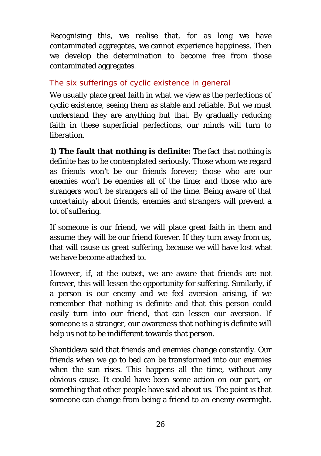Recognising this, we realise that, for as long we have contaminated aggregates, we cannot experience happiness. Then we develop the determination to become free from those contaminated aggregates.

### *The six sufferings of cyclic existence in general*

We usually place great faith in what we view as the perfections of cyclic existence, seeing them as stable and reliable. But we must understand they are anything but that. By gradually reducing faith in these superficial perfections, our minds will turn to liberation.

**1) The fault that nothing is definite:** The fact that nothing is definite has to be contemplated seriously. Those whom we regard as friends won't be our friends forever; those who are our enemies won't be enemies all of the time; and those who are strangers won't be strangers all of the time. Being aware of that uncertainty about friends, enemies and strangers will prevent a lot of suffering.

If someone is our friend, we will place great faith in them and assume they will be our friend forever. If they turn away from us, that will cause us great suffering, because we will have lost what we have become attached to.

However, if, at the outset, we are aware that friends are not forever, this will lessen the opportunity for suffering. Similarly, if a person is our enemy and we feel aversion arising, if we remember that nothing is definite and that this person could easily turn into our friend, that can lessen our aversion. If someone is a stranger, our awareness that nothing is definite will help us not to be indifferent towards that person.

Shantideva said that friends and enemies change constantly. Our friends when we go to bed can be transformed into our enemies when the sun rises. This happens all the time, without any obvious cause. It could have been some action on our part, or something that other people have said about us. The point is that someone can change from being a friend to an enemy overnight.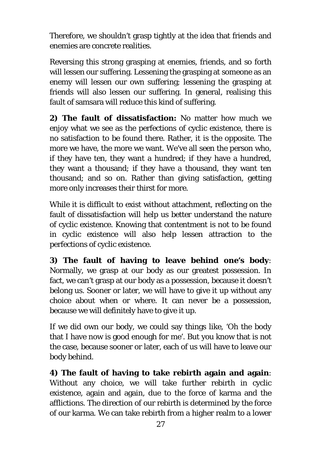Therefore, we shouldn't grasp tightly at the idea that friends and enemies are concrete realities.

Reversing this strong grasping at enemies, friends, and so forth will lessen our suffering. Lessening the grasping at someone as an enemy will lessen our own suffering; lessening the grasping at friends will also lessen our suffering. In general, realising this fault of samsara will reduce this kind of suffering.

**2) The fault of dissatisfaction:** No matter how much we enjoy what we see as the perfections of cyclic existence, there is no satisfaction to be found there. Rather, it is the opposite. The more we have, the more we want. We've all seen the person who, if they have ten, they want a hundred; if they have a hundred, they want a thousand; if they have a thousand, they want ten thousand; and so on. Rather than giving satisfaction, getting more only increases their thirst for more.

While it is difficult to exist without attachment, reflecting on the fault of dissatisfaction will help us better understand the nature of cyclic existence. Knowing that contentment is not to be found in cyclic existence will also help lessen attraction to the perfections of cyclic existence.

**3) The fault of having to leave behind one's body**: Normally, we grasp at our body as our greatest possession. In fact, we can't grasp at our body as a possession, because it doesn't belong us. Sooner or later, we will have to give it up without any choice about when or where. It can never be a possession, because we will definitely have to give it up.

If we did own our body, we could say things like, 'Oh the body that I have now is good enough for me'. But you know that is not the case, because sooner or later, each of us will have to leave our body behind.

**4) The fault of having to take rebirth again and again**: Without any choice, we will take further rebirth in cyclic existence, again and again, due to the force of karma and the afflictions. The direction of our rebirth is determined by the force of our karma. We can take rebirth from a higher realm to a lower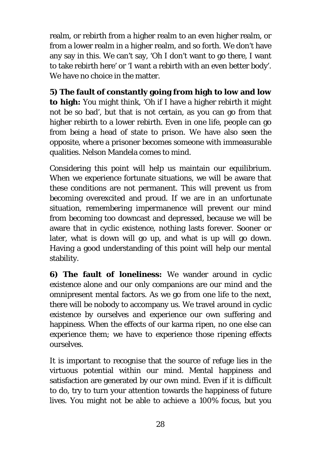realm, or rebirth from a higher realm to an even higher realm, or from a lower realm in a higher realm, and so forth. We don't have any say in this. We can't say, 'Oh I don't want to go there, I want to take rebirth here' or 'I want a rebirth with an even better body'. We have no choice in the matter.

**5) The fault of constantly going from high to low and low to high:** You might think, 'Oh if I have a higher rebirth it might not be so bad', but that is not certain, as you can go from that higher rebirth to a lower rebirth. Even in one life, people can go from being a head of state to prison. We have also seen the opposite, where a prisoner becomes someone with immeasurable qualities. Nelson Mandela comes to mind.

Considering this point will help us maintain our equilibrium. When we experience fortunate situations, we will be aware that these conditions are not permanent. This will prevent us from becoming overexcited and proud. If we are in an unfortunate situation, remembering impermanence will prevent our mind from becoming too downcast and depressed, because we will be aware that in cyclic existence, nothing lasts forever. Sooner or later, what is down will go up, and what is up will go down. Having a good understanding of this point will help our mental stability.

**6) The fault of loneliness:** We wander around in cyclic existence alone and our only companions are our mind and the omnipresent mental factors. As we go from one life to the next, there will be nobody to accompany us. We travel around in cyclic existence by ourselves and experience our own suffering and happiness. When the effects of our karma ripen, no one else can experience them; we have to experience those ripening effects ourselves.

It is important to recognise that the source of refuge lies in the virtuous potential within our mind. Mental happiness and satisfaction are generated by our own mind. Even if it is difficult to do, try to turn your attention towards the happiness of future lives. You might not be able to achieve a 100% focus, but you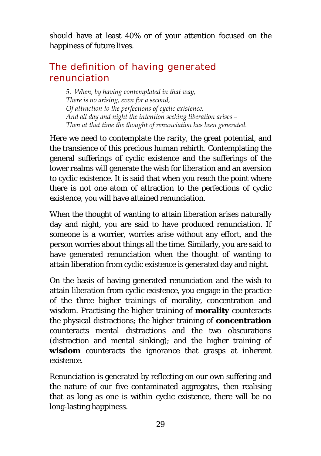should have at least 40% or of your attention focused on the happiness of future lives.

# <span id="page-31-0"></span>The definition of having generated renunciation

*5. When, by having contemplated in that way, There is no arising, even for a second, Of attraction to the perfections of cyclic existence, And all day and night the intention seeking liberation arises – Then at that time the thought of renunciation has been generated.*

Here we need to contemplate the rarity, the great potential, and the transience of this precious human rebirth. Contemplating the general sufferings of cyclic existence and the sufferings of the lower realms will generate the wish for liberation and an aversion to cyclic existence. It is said that when you reach the point where there is not one atom of attraction to the perfections of cyclic existence, you will have attained renunciation.

When the thought of wanting to attain liberation arises naturally day and night, you are said to have produced renunciation. If someone is a worrier, worries arise without any effort, and the person worries about things all the time. Similarly, you are said to have generated renunciation when the thought of wanting to attain liberation from cyclic existence is generated day and night.

On the basis of having generated renunciation and the wish to attain liberation from cyclic existence, you engage in the practice of the three higher trainings of morality, concentration and wisdom. Practising the higher training of **morality** counteracts the physical distractions; the higher training of **concentration** counteracts mental distractions and the two obscurations (distraction and mental sinking); and the higher training of **wisdom** counteracts the ignorance that grasps at inherent existence.

Renunciation is generated by reflecting on our own suffering and the nature of our five contaminated aggregates, then realising that as long as one is within cyclic existence, there will be no long-lasting happiness.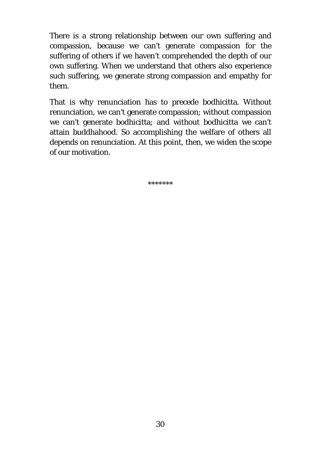There is a strong relationship between our own suffering and compassion, because we can't generate compassion for the suffering of others if we haven't comprehended the depth of our own suffering. When we understand that others also experience such suffering, we generate strong compassion and empathy for them.

That is why renunciation has to precede bodhicitta. Without renunciation, we can't generate compassion; without compassion we can't generate bodhicitta; and without bodhicitta we can't attain buddhahood. So accomplishing the welfare of others all depends on renunciation. At this point, then, we widen the scope of our motivation.

\*\*\*\*\*\*\*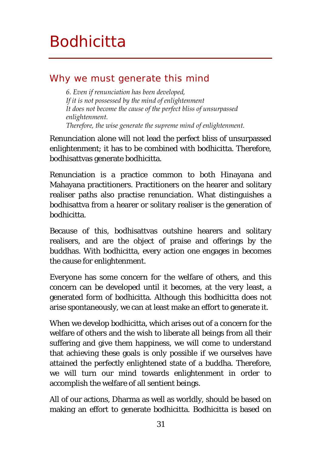# <span id="page-33-0"></span>**Bodhicitta**

# <span id="page-33-1"></span>Why we must generate this mind

*6. Even if renunciation has been developed, If it is not possessed by the mind of enlightenment It does not become the cause of the perfect bliss of unsurpassed enlightenment. Therefore, the wise generate the supreme mind of enlightenment.* 

Renunciation alone will not lead the perfect bliss of unsurpassed enlightenment; it has to be combined with bodhicitta. Therefore, bodhisattvas generate bodhicitta.

Renunciation is a practice common to both Hinayana and Mahayana practitioners. Practitioners on the hearer and solitary realiser paths also practise renunciation. What distinguishes a bodhisattva from a hearer or solitary realiser is the generation of bodhicitta.

Because of this, bodhisattvas outshine hearers and solitary realisers, and are the object of praise and offerings by the buddhas. With bodhicitta, every action one engages in becomes the cause for enlightenment.

Everyone has some concern for the welfare of others, and this concern can be developed until it becomes, at the very least, a generated form of bodhicitta. Although this bodhicitta does not arise spontaneously, we can at least make an effort to generate it.

When we develop bodhicitta, which arises out of a concern for the welfare of others and the wish to liberate all beings from all their suffering and give them happiness, we will come to understand that achieving these goals is only possible if we ourselves have attained the perfectly enlightened state of a buddha. Therefore, we will turn our mind towards enlightenment in order to accomplish the welfare of all sentient beings.

All of our actions, Dharma as well as worldly, should be based on making an effort to generate bodhicitta. Bodhicitta is based on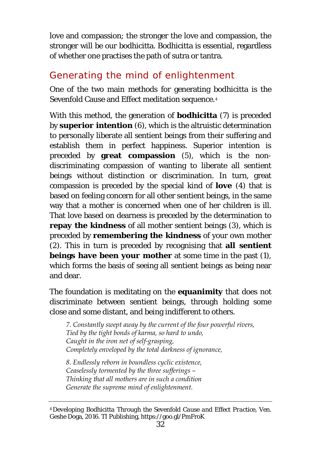love and compassion; the stronger the love and compassion, the stronger will be our bodhicitta. Bodhicitta is essential, regardless of whether one practises the path of sutra or tantra.

# <span id="page-34-0"></span>Generating the mind of enlightenment

One of the two main methods for generating bodhicitta is the Sevenfold Cause and Effect meditation sequence.[4](#page-34-1)

With this method, the generation of **bodhicitta** (7) is preceded by **superior intention** (6), which is the altruistic determination to personally liberate all sentient beings from their suffering and establish them in perfect happiness. Superior intention is preceded by **great compassion** (5), which is the nondiscriminating compassion of wanting to liberate all sentient beings without distinction or discrimination. In turn, great compassion is preceded by the special kind of **love** (4) that is based on feeling concern for all other sentient beings, in the same way that a mother is concerned when one of her children is ill. That love based on dearness is preceded by the determination to **repay the kindness** of all mother sentient beings (3), which is preceded by **remembering the kindness** of your own mother (2). This in turn is preceded by recognising that **all sentient beings have been your mother** at some time in the past (1), which forms the basis of seeing all sentient beings as being near and dear.

The foundation is meditating on the **equanimity** that does not discriminate between sentient beings, through holding some close and some distant, and being indifferent to others.

*7. Constantly swept away by the current of the four powerful rivers, Tied by the tight bonds of karma, so hard to undo, Caught in the iron net of self-grasping, Completely enveloped by the total darkness of ignorance,*

*8. Endlessly reborn in boundless cyclic existence, Ceaselessly tormented by the three sufferings – Thinking that all mothers are in such a condition Generate the supreme mind of enlightenment.* 

<span id="page-34-1"></span><sup>4</sup> *Developing Bodhicitta Through the Sevenfold Cause and Effect Practice*, Ven. Geshe Doga, 2016. TI Publishing, https://goo.gl/PmFroK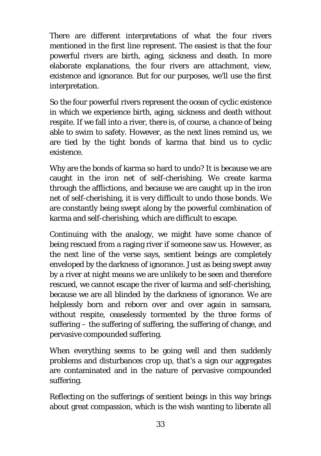There are different interpretations of what the four rivers mentioned in the first line represent. The easiest is that the four powerful rivers are birth, aging, sickness and death. In more elaborate explanations, the four rivers are attachment, view, existence and ignorance. But for our purposes, we'll use the first interpretation.

So the four powerful rivers represent the ocean of cyclic existence in which we experience birth, aging, sickness and death without respite. If we fall into a river, there is, of course, a chance of being able to swim to safety. However, as the next lines remind us, we are tied by the tight bonds of karma that bind us to cyclic existence.

Why are the bonds of karma so hard to undo? It is because we are caught in the iron net of self-cherishing. We create karma through the afflictions, and because we are caught up in the iron net of self-cherishing, it is very difficult to undo those bonds. We are constantly being swept along by the powerful combination of karma and self-cherishing, which are difficult to escape.

Continuing with the analogy, we might have some chance of being rescued from a raging river if someone saw us. However, as the next line of the verse says, sentient beings are completely enveloped by the darkness of ignorance. Just as being swept away by a river at night means we are unlikely to be seen and therefore rescued, we cannot escape the river of karma and self-cherishing, because we are all blinded by the darkness of ignorance. We are helplessly born and reborn over and over again in samsara, without respite, ceaselessly tormented by the three forms of suffering – the suffering of suffering, the suffering of change, and pervasive compounded suffering.

When everything seems to be going well and then suddenly problems and disturbances crop up, that's a sign our aggregates are contaminated and in the nature of pervasive compounded suffering.

Reflecting on the sufferings of sentient beings in this way brings about great compassion, which is the wish wanting to liberate all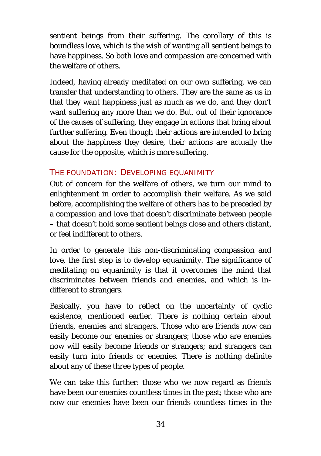sentient beings from their suffering. The corollary of this is boundless love, which is the wish of wanting all sentient beings to have happiness. So both love and compassion are concerned with the welfare of others.

Indeed, having already meditated on our own suffering, we can transfer that understanding to others. They are the same as us in that they want happiness just as much as we do, and they don't want suffering any more than we do. But, out of their ignorance of the causes of suffering, they engage in actions that bring about further suffering. Even though their actions are intended to bring about the happiness they desire, their actions are actually the cause for the opposite, which is more suffering.

#### THE FOUNDATION: DEVELOPING EQUANIMITY

Out of concern for the welfare of others, we turn our mind to enlightenment in order to accomplish their welfare. As we said before, accomplishing the welfare of others has to be preceded by a compassion and love that doesn't discriminate between people – that doesn't hold some sentient beings close and others distant, or feel indifferent to others.

In order to generate this non-discriminating compassion and love, the first step is to develop equanimity. The significance of meditating on equanimity is that it overcomes the mind that discriminates between friends and enemies, and which is indifferent to strangers.

Basically, you have to reflect on the uncertainty of cyclic existence, mentioned earlier. There is nothing certain about friends, enemies and strangers. Those who are friends now can easily become our enemies or strangers; those who are enemies now will easily become friends or strangers; and strangers can easily turn into friends or enemies. There is nothing definite about any of these three types of people.

We can take this further: those who we now regard as friends have been our enemies countless times in the past; those who are now our enemies have been our friends countless times in the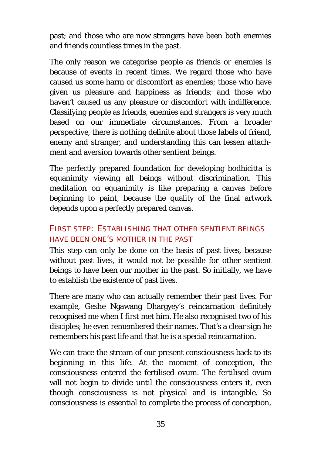past; and those who are now strangers have been both enemies and friends countless times in the past.

The only reason we categorise people as friends or enemies is because of events in recent times. We regard those who have caused us some harm or discomfort as enemies; those who have given us pleasure and happiness as friends; and those who haven't caused us any pleasure or discomfort with indifference. Classifying people as friends, enemies and strangers is very much based on our immediate circumstances. From a broader perspective, there is nothing definite about those labels of friend, enemy and stranger, and understanding this can lessen attachment and aversion towards other sentient beings.

The perfectly prepared foundation for developing bodhicitta is equanimity viewing all beings without discrimination. This meditation on equanimity is like preparing a canvas before beginning to paint, because the quality of the final artwork depends upon a perfectly prepared canvas.

### FIRST STEP: ESTABLISHING THAT OTHER SENTIENT BEINGS HAVE BEEN ONE'S MOTHER IN THE PAST

This step can only be done on the basis of past lives, because without past lives, it would not be possible for other sentient beings to have been our mother in the past. So initially, we have to establish the existence of past lives.

There are many who can actually remember their past lives. For example, Geshe Ngawang Dhargyey's reincarnation definitely recognised me when I first met him. He also recognised two of his disciples; he even remembered their names. That's a clear sign he remembers his past life and that he is a special reincarnation.

We can trace the stream of our present consciousness back to its beginning in this life. At the moment of conception, the consciousness entered the fertilised ovum. The fertilised ovum will not begin to divide until the consciousness enters it, even though consciousness is not physical and is intangible. So consciousness is essential to complete the process of conception,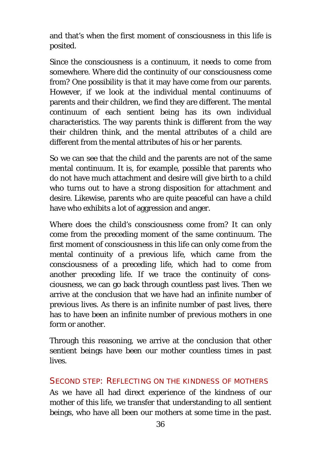and that's when the first moment of consciousness in this life is posited.

Since the consciousness is a continuum, it needs to come from somewhere. Where did the continuity of our consciousness come from? One possibility is that it may have come from our parents. However, if we look at the individual mental continuums of parents and their children, we find they are different. The mental continuum of each sentient being has its own individual characteristics. The way parents think is different from the way their children think, and the mental attributes of a child are different from the mental attributes of his or her parents.

So we can see that the child and the parents are not of the same mental continuum. It is, for example, possible that parents who do not have much attachment and desire will give birth to a child who turns out to have a strong disposition for attachment and desire. Likewise, parents who are quite peaceful can have a child have who exhibits a lot of aggression and anger.

Where does the child's consciousness come from? It can only come from the preceding moment of the same continuum. The first moment of consciousness in this life can only come from the mental continuity of a previous life, which came from the consciousness of a preceding life, which had to come from another preceding life. If we trace the continuity of consciousness, we can go back through countless past lives. Then we arrive at the conclusion that we have had an infinite number of previous lives. As there is an infinite number of past lives, there has to have been an infinite number of previous mothers in one form or another.

Through this reasoning, we arrive at the conclusion that other sentient beings have been our mother countless times in past lives.

#### SECOND STEP: REFLECTING ON THE KINDNESS OF MOTHERS

As we have all had direct experience of the kindness of our mother of this life, we transfer that understanding to all sentient beings, who have all been our mothers at some time in the past.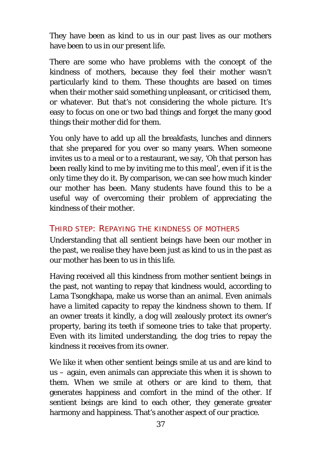They have been as kind to us in our past lives as our mothers have been to us in our present life.

There are some who have problems with the concept of the kindness of mothers, because they feel their mother wasn't particularly kind to them. These thoughts are based on times when their mother said something unpleasant, or criticised them, or whatever. But that's not considering the whole picture. It's easy to focus on one or two bad things and forget the many good things their mother did for them.

You only have to add up all the breakfasts, lunches and dinners that she prepared for you over so many years. When someone invites us to a meal or to a restaurant, we say, 'Oh that person has been really kind to me by inviting me to this meal', even if it is the only time they do it. By comparison, we can see how much kinder our mother has been. Many students have found this to be a useful way of overcoming their problem of appreciating the kindness of their mother.

#### THIRD STEP: REPAYING THE KINDNESS OF MOTHERS

Understanding that all sentient beings have been our mother in the past, we realise they have been just as kind to us in the past as our mother has been to us in this life.

Having received all this kindness from mother sentient beings in the past, not wanting to repay that kindness would, according to Lama Tsongkhapa, make us worse than an animal. Even animals have a limited capacity to repay the kindness shown to them. If an owner treats it kindly, a dog will zealously protect its owner's property, baring its teeth if someone tries to take that property. Even with its limited understanding, the dog tries to repay the kindness it receives from its owner.

We like it when other sentient beings smile at us and are kind to us – again, even animals can appreciate this when it is shown to them. When we smile at others or are kind to them, that generates happiness and comfort in the mind of the other. If sentient beings are kind to each other, they generate greater harmony and happiness. That's another aspect of our practice.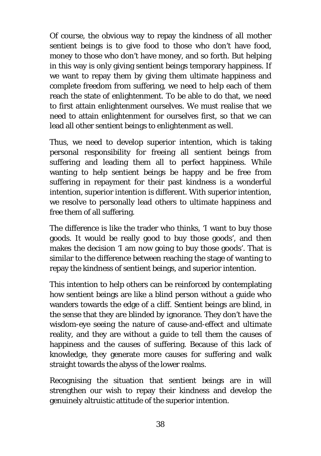Of course, the obvious way to repay the kindness of all mother sentient beings is to give food to those who don't have food, money to those who don't have money, and so forth. But helping in this way is only giving sentient beings temporary happiness. If we want to repay them by giving them ultimate happiness and complete freedom from suffering, we need to help each of them reach the state of enlightenment. To be able to do that, we need to first attain enlightenment ourselves. We must realise that we need to attain enlightenment for ourselves first, so that we can lead all other sentient beings to enlightenment as well.

Thus, we need to develop superior intention, which is taking personal responsibility for freeing all sentient beings from suffering and leading them all to perfect happiness. While wanting to help sentient beings be happy and be free from suffering in repayment for their past kindness is a wonderful intention, superior intention is different. With superior intention, we resolve to personally lead others to ultimate happiness and free them of all suffering.

The difference is like the trader who thinks, 'I want to buy those goods. It would be really good to buy those goods', and then makes the decision 'I am now going to buy those goods'. That is similar to the difference between reaching the stage of wanting to repay the kindness of sentient beings, and superior intention.

This intention to help others can be reinforced by contemplating how sentient beings are like a blind person without a guide who wanders towards the edge of a cliff. Sentient beings are blind, in the sense that they are blinded by ignorance. They don't have the wisdom-eye seeing the nature of cause-and-effect and ultimate reality, and they are without a guide to tell them the causes of happiness and the causes of suffering. Because of this lack of knowledge, they generate more causes for suffering and walk straight towards the abyss of the lower realms.

Recognising the situation that sentient beings are in will strengthen our wish to repay their kindness and develop the genuinely altruistic attitude of the superior intention.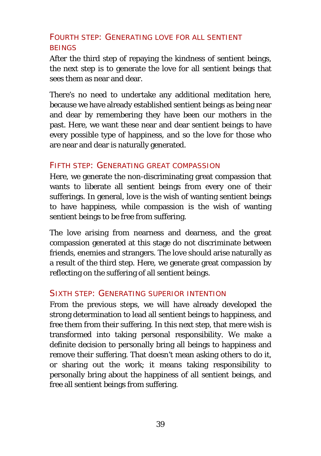### FOURTH STEP: GENERATING LOVE FOR ALL SENTIENT **BEINGS**

After the third step of repaying the kindness of sentient beings, the next step is to generate the love for all sentient beings that sees them as near and dear.

There's no need to undertake any additional meditation here, because we have already established sentient beings as being near and dear by remembering they have been our mothers in the past. Here, we want these near and dear sentient beings to have every possible type of happiness, and so the love for those who are near and dear is naturally generated.

#### FIFTH STEP: GENERATING GREAT COMPASSION

Here, we generate the non-discriminating great compassion that wants to liberate all sentient beings from every one of their sufferings. In general, love is the wish of wanting sentient beings to have happiness, while compassion is the wish of wanting sentient beings to be free from suffering.

The love arising from nearness and dearness, and the great compassion generated at this stage do not discriminate between friends, enemies and strangers. The love should arise naturally as a result of the third step. Here, we generate great compassion by reflecting on the suffering of all sentient beings.

#### SIXTH STEP: GENERATING SUPERIOR INTENTION

From the previous steps, we will have already developed the strong determination to lead all sentient beings to happiness, and free them from their suffering. In this next step, that mere wish is transformed into taking personal responsibility. We make a definite decision to personally bring all beings to happiness and remove their suffering. That doesn't mean asking others to do it, or sharing out the work; it means taking responsibility to personally bring about the happiness of all sentient beings, and free all sentient beings from suffering.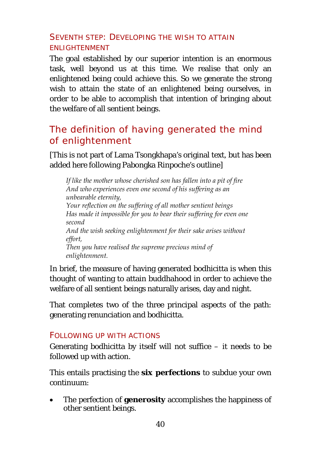### SEVENTH STEP: DEVELOPING THE WISH TO ATTAIN ENLIGHTENMENT

The goal established by our superior intention is an enormous task, well beyond us at this time. We realise that only an enlightened being could achieve this. So we generate the strong wish to attain the state of an enlightened being ourselves, in order to be able to accomplish that intention of bringing about the welfare of all sentient beings.

# <span id="page-42-0"></span>The definition of having generated the mind of enlightenment

[This is not part of Lama Tsongkhapa's original text, but has been added here following Pabongka Rinpoche's outline]

*If like the mother whose cherished son has fallen into a pit of fire And who experiences even one second of his suffering as an unbearable eternity, Your reflection on the suffering of all mother sentient beings Has made it impossible for you to bear their suffering for even one second And the wish seeking enlightenment for their sake arises without effort, Then you have realised the supreme precious mind of enlightenment.* 

In brief, the measure of having generated bodhicitta is when this thought of wanting to attain buddhahood in order to achieve the welfare of all sentient beings naturally arises, day and night.

That completes two of the three principal aspects of the path: generating renunciation and bodhicitta.

#### FOLLOWING UP WITH ACTIONS

Generating bodhicitta by itself will not suffice  $-$  it needs to be followed up with action.

This entails practising the **six perfections** to subdue your own continuum:

• The perfection of **generosity** accomplishes the happiness of other sentient beings.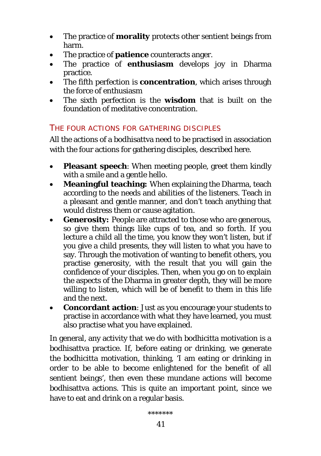- The practice of **morality** protects other sentient beings from harm.
- The practice of **patience** counteracts anger.
- The practice of **enthusiasm** develops joy in Dharma practice.
- The fifth perfection is **concentration**, which arises through the force of enthusiasm
- The sixth perfection is the **wisdom** that is built on the foundation of meditative concentration.

### THE FOUR ACTIONS FOR GATHERING DISCIPLES

All the actions of a bodhisattva need to be practised in association with the four actions for gathering disciples, described here.

- **Pleasant speech:** When meeting people, greet them kindly with a smile and a gentle hello.
- **Meaningful teaching:** When explaining the Dharma, teach according to the needs and abilities of the listeners. Teach in a pleasant and gentle manner, and don't teach anything that would distress them or cause agitation.
- **Generosity:** People are attracted to those who are generous, so give them things like cups of tea, and so forth. If you lecture a child all the time, you know they won't listen, but if you give a child presents, they will listen to what you have to say. Through the motivation of wanting to benefit others, you practise generosity, with the result that you will gain the confidence of your disciples. Then, when you go on to explain the aspects of the Dharma in greater depth, they will be more willing to listen, which will be of benefit to them in this life and the next.
- **Concordant action**: Just as you encourage your students to practise in accordance with what they have learned, you must also practise what you have explained.

In general, any activity that we do with bodhicitta motivation is a bodhisattva practice. If, before eating or drinking, we generate the bodhicitta motivation, thinking, 'I am eating or drinking in order to be able to become enlightened for the benefit of all sentient beings', then even these mundane actions will become bodhisattva actions. This is quite an important point, since we have to eat and drink on a regular basis.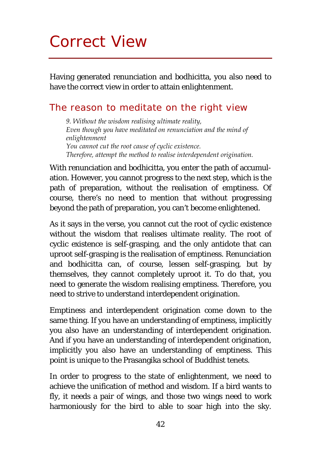# <span id="page-44-0"></span>Correct View

Having generated renunciation and bodhicitta, you also need to have the correct view in order to attain enlightenment.

### <span id="page-44-1"></span>The reason to meditate on the right view

*9. Without the wisdom realising ultimate reality, Even though you have meditated on renunciation and the mind of enlightenment You cannot cut the root cause of cyclic existence. Therefore, attempt the method to realise interdependent origination.* 

With renunciation and bodhicitta, you enter the path of accumulation. However, you cannot progress to the next step, which is the path of preparation, without the realisation of emptiness. Of course, there's no need to mention that without progressing beyond the path of preparation, you can't become enlightened.

As it says in the verse, you cannot cut the root of cyclic existence without the wisdom that realises ultimate reality. The root of cyclic existence is self-grasping, and the only antidote that can uproot self-grasping is the realisation of emptiness. Renunciation and bodhicitta can, of course, lessen self-grasping, but by themselves, they cannot completely uproot it. To do that, you need to generate the wisdom realising emptiness. Therefore, you need to strive to understand interdependent origination.

Emptiness and interdependent origination come down to the same thing. If you have an understanding of emptiness, implicitly you also have an understanding of interdependent origination. And if you have an understanding of interdependent origination, implicitly you also have an understanding of emptiness. This point is unique to the Prasangika school of Buddhist tenets.

In order to progress to the state of enlightenment, we need to achieve the unification of method and wisdom. If a bird wants to fly, it needs a pair of wings, and those two wings need to work harmoniously for the bird to able to soar high into the sky.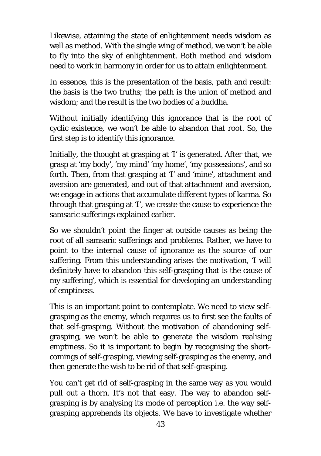Likewise, attaining the state of enlightenment needs wisdom as well as method. With the single wing of method, we won't be able to fly into the sky of enlightenment. Both method and wisdom need to work in harmony in order for us to attain enlightenment.

In essence, this is the presentation of the basis, path and result: the basis is the two truths; the path is the union of method and wisdom; and the result is the two bodies of a buddha.

Without initially identifying this ignorance that is the root of cyclic existence, we won't be able to abandon that root. So, the first step is to identify this ignorance.

Initially, the thought at grasping at 'I' is generated. After that, we grasp at 'my body', 'my mind' 'my home', 'my possessions', and so forth. Then, from that grasping at 'I' and 'mine', attachment and aversion are generated, and out of that attachment and aversion, we engage in actions that accumulate different types of karma. So through that grasping at 'I', we create the cause to experience the samsaric sufferings explained earlier.

So we shouldn't point the finger at outside causes as being the root of all samsaric sufferings and problems. Rather, we have to point to the internal cause of ignorance as the source of our suffering. From this understanding arises the motivation, 'I will definitely have to abandon this self-grasping that is the cause of my suffering', which is essential for developing an understanding of emptiness.

This is an important point to contemplate. We need to view selfgrasping as the enemy, which requires us to first see the faults of that self-grasping. Without the motivation of abandoning selfgrasping, we won't be able to generate the wisdom realising emptiness. So it is important to begin by recognising the shortcomings of self-grasping, viewing self-grasping as the enemy, and then generate the wish to be rid of that self-grasping.

You can't get rid of self-grasping in the same way as you would pull out a thorn. It's not that easy. The way to abandon selfgrasping is by analysing its mode of perception i.e. the way selfgrasping apprehends its objects. We have to investigate whether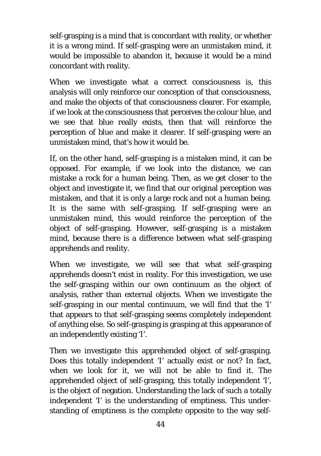self-grasping is a mind that is concordant with reality, or whether it is a wrong mind. If self-grasping were an unmistaken mind, it would be impossible to abandon it, because it would be a mind concordant with reality.

When we investigate what a correct consciousness is, this analysis will only reinforce our conception of that consciousness, and make the objects of that consciousness clearer. For example, if we look at the consciousness that perceives the colour blue, and we see that blue really exists, then that will reinforce the perception of blue and make it clearer. If self-grasping were an unmistaken mind, that's how it would be.

If, on the other hand, self-grasping is a mistaken mind, it can be opposed. For example, if we look into the distance, we can mistake a rock for a human being. Then, as we get closer to the object and investigate it, we find that our original perception was mistaken, and that it is only a large rock and not a human being. It is the same with self-grasping. If self-grasping were an unmistaken mind, this would reinforce the perception of the object of self-grasping. However, self-grasping is a mistaken mind, because there is a difference between what self-grasping apprehends and reality.

When we investigate, we will see that what self-grasping apprehends doesn't exist in reality. For this investigation, we use the self-grasping within our own continuum as the object of analysis, rather than external objects. When we investigate the self-grasping in our mental continuum, we will find that the 'I' that appears to that self-grasping seems completely independent of anything else. So self-grasping is grasping at this appearance of an independently existing 'I'.

Then we investigate this apprehended object of self-grasping. Does this totally independent 'I' actually exist or not? In fact, when we look for it, we will not be able to find it. The apprehended object of self-grasping, this totally independent 'I', is the object of negation. Understanding the lack of such a totally independent 'I' is the understanding of emptiness. This understanding of emptiness is the complete opposite to the way self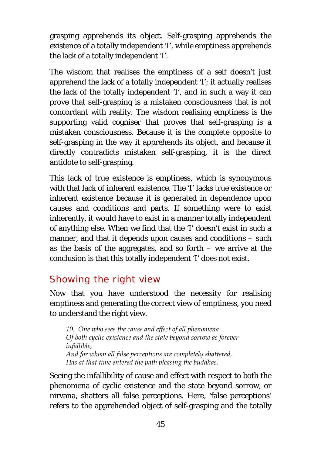grasping apprehends its object. Self-grasping apprehends the existence of a totally independent 'I', while emptiness apprehends the lack of a totally independent 'I'.

The wisdom that realises the emptiness of a self doesn't just apprehend the lack of a totally independent 'I'; it actually realises the lack of the totally independent 'I', and in such a way it can prove that self-grasping is a mistaken consciousness that is not concordant with reality. The wisdom realising emptiness is the supporting valid cogniser that proves that self-grasping is a mistaken consciousness. Because it is the complete opposite to self-grasping in the way it apprehends its object, and because it directly contradicts mistaken self-grasping, it is the direct antidote to self-grasping.

This lack of true existence is emptiness, which is synonymous with that lack of inherent existence. The 'I' lacks true existence or inherent existence because it is generated in dependence upon causes and conditions and parts. If something were to exist inherently, it would have to exist in a manner totally independent of anything else. When we find that the 'I' doesn't exist in such a manner, and that it depends upon causes and conditions – such as the basis of the aggregates, and so forth – we arrive at the conclusion is that this totally independent 'I' does not exist.

# <span id="page-47-0"></span>Showing the right view

Now that you have understood the necessity for realising emptiness and generating the correct view of emptiness, you need to understand the right view.

*10. One who sees the cause and effect of all phenomena Of both cyclic existence and the state beyond sorrow as forever infallible, And for whom all false perceptions are completely shattered, Has at that time entered the path pleasing the buddhas.*

Seeing the infallibility of cause and effect with respect to both the phenomena of cyclic existence and the state beyond sorrow, or nirvana, shatters all false perceptions. Here, 'false perceptions' refers to the apprehended object of self-grasping and the totally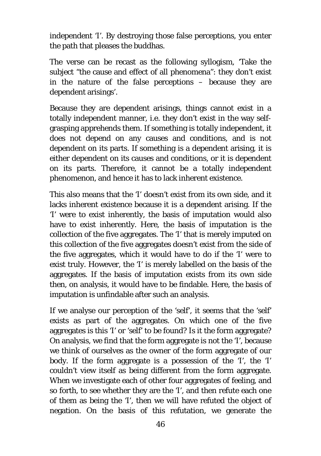independent 'I'. By destroying those false perceptions, you enter the path that pleases the buddhas.

The verse can be recast as the following syllogism, 'Take the subject "the cause and effect of all phenomena": they don't exist in the nature of the false perceptions – because they are dependent arisings'.

Because they are dependent arisings, things cannot exist in a totally independent manner, i.e. they don't exist in the way selfgrasping apprehends them. If something is totally independent, it does not depend on any causes and conditions, and is not dependent on its parts. If something is a dependent arising, it is either dependent on its causes and conditions, or it is dependent on its parts. Therefore, it cannot be a totally independent phenomenon, and hence it has to lack inherent existence.

This also means that the 'I' doesn't exist from its own side, and it lacks inherent existence because it is a dependent arising. If the 'I' were to exist inherently, the basis of imputation would also have to exist inherently. Here, the basis of imputation is the collection of the five aggregates. The 'I' that is merely imputed on this collection of the five aggregates doesn't exist from the side of the five aggregates, which it would have to do if the 'I' were to exist truly. However, the 'I' is merely labelled on the basis of the aggregates. If the basis of imputation exists from its own side then, on analysis, it would have to be findable. Here, the basis of imputation is unfindable after such an analysis.

If we analyse our perception of the 'self', it seems that the 'self' exists as part of the aggregates. On which one of the five aggregates is this 'I' or 'self' to be found? Is it the form aggregate? On analysis, we find that the form aggregate is not the 'I', because we think of ourselves as the owner of the form aggregate of our body. If the form aggregate is a possession of the 'I', the 'I' couldn't view itself as being different from the form aggregate. When we investigate each of other four aggregates of feeling, and so forth, to see whether they are the 'I', and then refute each one of them as being the 'I', then we will have refuted the object of negation. On the basis of this refutation, we generate the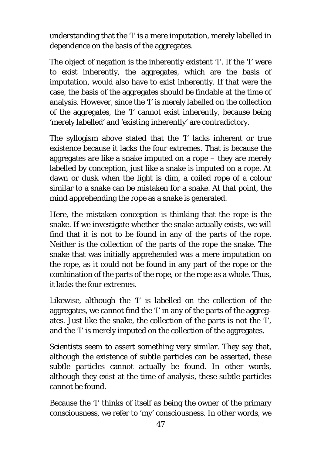understanding that the 'I' is a mere imputation, merely labelled in dependence on the basis of the aggregates.

The object of negation is the inherently existent 'I'. If the 'I' were to exist inherently, the aggregates, which are the basis of imputation, would also have to exist inherently. If that were the case, the basis of the aggregates should be findable at the time of analysis. However, since the 'I' is merely labelled on the collection of the aggregates, the 'I' cannot exist inherently, because being 'merely labelled' and 'existing inherently' are contradictory.

The syllogism above stated that the 'I' lacks inherent or true existence because it lacks the four extremes. That is because the aggregates are like a snake imputed on a rope – they are merely labelled by conception, just like a snake is imputed on a rope. At dawn or dusk when the light is dim, a coiled rope of a colour similar to a snake can be mistaken for a snake. At that point, the mind apprehending the rope as a snake is generated.

Here, the mistaken conception is thinking that the rope is the snake. If we investigate whether the snake actually exists, we will find that it is not to be found in any of the parts of the rope. Neither is the collection of the parts of the rope the snake. The snake that was initially apprehended was a mere imputation on the rope, as it could not be found in any part of the rope or the combination of the parts of the rope, or the rope as a whole. Thus, it lacks the four extremes.

Likewise, although the 'I' is labelled on the collection of the aggregates, we cannot find the 'I' in any of the parts of the aggregates. Just like the snake, the collection of the parts is not the 'I', and the 'I' is merely imputed on the collection of the aggregates.

Scientists seem to assert something very similar. They say that, although the existence of subtle particles can be asserted, these subtle particles cannot actually be found. In other words, although they exist at the time of analysis, these subtle particles cannot be found.

Because the 'I' thinks of itself as being the owner of the primary consciousness, we refer to 'my' consciousness. In other words, we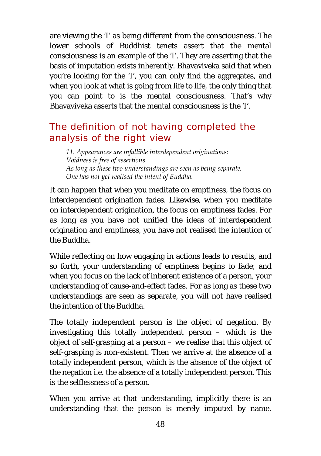are viewing the 'I' as being different from the consciousness. The lower schools of Buddhist tenets assert that the mental consciousness is an example of the 'I'. They are asserting that the basis of imputation exists inherently. Bhavaviveka said that when you're looking for the 'I', you can only find the aggregates, and when you look at what is going from life to life, the only thing that you can point to is the mental consciousness. That's why Bhavaviveka asserts that the mental consciousness is the 'I'.

# <span id="page-50-0"></span>The definition of not having completed the analysis of the right view

*11. Appearances are infallible interdependent originations; Voidness is free of assertions. As long as these two understandings are seen as being separate, One has not yet realised the intent of Buddha.*

It can happen that when you meditate on emptiness, the focus on interdependent origination fades. Likewise, when you meditate on interdependent origination, the focus on emptiness fades. For as long as you have not unified the ideas of interdependent origination and emptiness, you have not realised the intention of the Buddha.

While reflecting on how engaging in actions leads to results, and so forth, your understanding of emptiness begins to fade; and when you focus on the lack of inherent existence of a person, your understanding of cause-and-effect fades. For as long as these two understandings are seen as separate, you will not have realised the intention of the Buddha.

The totally independent person is the object of negation. By investigating this totally independent person – which is the object of self-grasping at a person – we realise that this object of self-grasping is non-existent. Then we arrive at the absence of a totally independent person, which is the absence of the object of the negation i.e. the absence of a totally independent person. This is the selflessness of a person.

When you arrive at that understanding, implicitly there is an understanding that the person is merely imputed by name.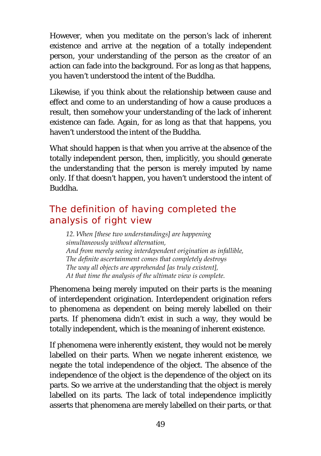However, when you meditate on the person's lack of inherent existence and arrive at the negation of a totally independent person, your understanding of the person as the creator of an action can fade into the background. For as long as that happens, you haven't understood the intent of the Buddha.

Likewise, if you think about the relationship between cause and effect and come to an understanding of how a cause produces a result, then somehow your understanding of the lack of inherent existence can fade. Again, for as long as that that happens, you haven't understood the intent of the Buddha.

What should happen is that when you arrive at the absence of the totally independent person, then, implicitly, you should generate the understanding that the person is merely imputed by name only. If that doesn't happen, you haven't understood the intent of Buddha.

# <span id="page-51-0"></span>The definition of having completed the analysis of right view

*12. When [these two understandings] are happening simultaneously without alternation, And from merely seeing interdependent origination as infallible, The definite ascertainment comes that completely destroys The way all objects are apprehended [as truly existent], At that time the analysis of the ultimate view is complete.* 

Phenomena being merely imputed on their parts is the meaning of interdependent origination. Interdependent origination refers to phenomena as dependent on being merely labelled on their parts. If phenomena didn't exist in such a way, they would be totally independent, which is the meaning of inherent existence.

If phenomena were inherently existent, they would not be merely labelled on their parts. When we negate inherent existence, we negate the total independence of the object. The absence of the independence of the object is the dependence of the object on its parts. So we arrive at the understanding that the object is merely labelled on its parts. The lack of total independence implicitly asserts that phenomena are merely labelled on their parts, or that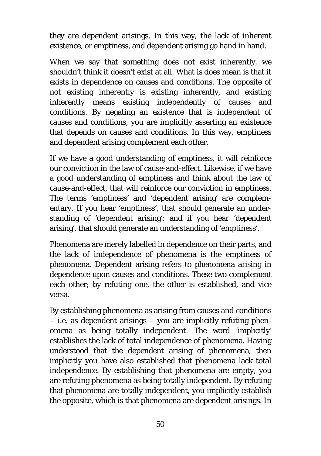they are dependent arisings. In this way, the lack of inherent existence, or emptiness, and dependent arising go hand in hand.

When we say that something does not exist inherently, we shouldn't think it doesn't exist at all. What is does mean is that it exists in dependence on causes and conditions. The opposite of not existing inherently is existing inherently, and existing inherently means existing independently of causes and conditions. By negating an existence that is independent of causes and conditions, you are implicitly asserting an existence that depends on causes and conditions. In this way, emptiness and dependent arising complement each other.

If we have a good understanding of emptiness, it will reinforce our conviction in the law of cause-and-effect. Likewise, if we have a good understanding of emptiness and think about the law of cause-and-effect, that will reinforce our conviction in emptiness. The terms 'emptiness' and 'dependent arising' are complementary. If you hear 'emptiness', that should generate an understanding of 'dependent arising'; and if you hear 'dependent arising', that should generate an understanding of 'emptiness'.

Phenomena are merely labelled in dependence on their parts, and the lack of independence of phenomena is the emptiness of phenomena. Dependent arising refers to phenomena arising in dependence upon causes and conditions. These two complement each other; by refuting one, the other is established, and vice versa.

By establishing phenomena as arising from causes and conditions – i.e. as dependent arisings – you are implicitly refuting phenomena as being totally independent. The word 'implicitly' establishes the lack of total independence of phenomena. Having understood that the dependent arising of phenomena, then implicitly you have also established that phenomena lack total independence. By establishing that phenomena are empty, you are refuting phenomena as being totally independent. By refuting that phenomena are totally independent, you implicitly establish the opposite, which is that phenomena are dependent arisings. In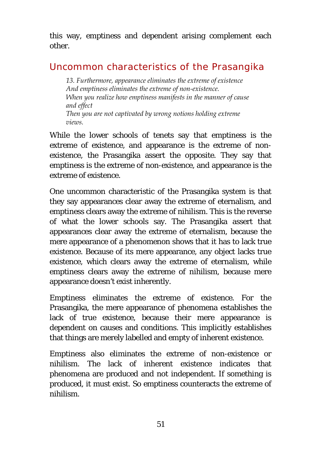this way, emptiness and dependent arising complement each other.

# <span id="page-53-0"></span>Uncommon characteristics of the Prasangika

*13. Furthermore, appearance eliminates the extreme of existence And emptiness eliminates the extreme of non-existence. When you realize how emptiness manifests in the manner of cause and effect Then you are not captivated by wrong notions holding extreme views.*

While the lower schools of tenets say that emptiness is the extreme of existence, and appearance is the extreme of nonexistence, the Prasangika assert the opposite. They say that emptiness is the extreme of non-existence, and appearance is the extreme of existence.

One uncommon characteristic of the Prasangika system is that they say appearances clear away the extreme of eternalism, and emptiness clears away the extreme of nihilism. This is the reverse of what the lower schools say. The Prasangika assert that appearances clear away the extreme of eternalism, because the mere appearance of a phenomenon shows that it has to lack true existence. Because of its mere appearance, any object lacks true existence, which clears away the extreme of eternalism, while emptiness clears away the extreme of nihilism, because mere appearance doesn't exist inherently.

Emptiness eliminates the extreme of existence. For the Prasangika, the mere appearance of phenomena establishes the lack of true existence, because their mere appearance is dependent on causes and conditions. This implicitly establishes that things are merely labelled and empty of inherent existence.

Emptiness also eliminates the extreme of non-existence or nihilism. The lack of inherent existence indicates that phenomena are produced and not independent. If something is produced, it must exist. So emptiness counteracts the extreme of nihilism.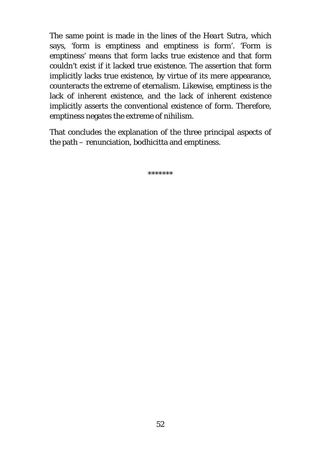The same point is made in the lines of the *Heart Sutra,* which says, 'form is emptiness and emptiness is form'. 'Form is emptiness' means that form lacks true existence and that form couldn't exist if it lacked true existence. The assertion that form implicitly lacks true existence, by virtue of its mere appearance, counteracts the extreme of eternalism. Likewise, emptiness is the lack of inherent existence, and the lack of inherent existence implicitly asserts the conventional existence of form. Therefore, emptiness negates the extreme of nihilism.

That concludes the explanation of the three principal aspects of the path – renunciation, bodhicitta and emptiness.

\*\*\*\*\*\*\*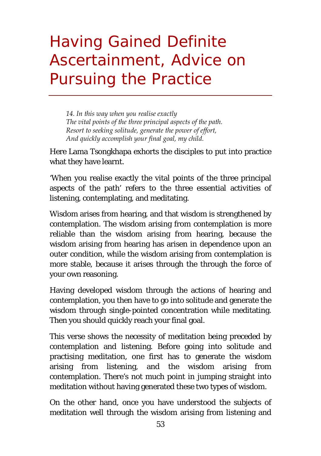# <span id="page-55-0"></span>Having Gained Definite Ascertainment, Advice on Pursuing the Practice

*14. In this way when you realise exactly The vital points of the three principal aspects of the path. Resort to seeking solitude, generate the power of effort, And quickly accomplish your final goal, my child.*

Here Lama Tsongkhapa exhorts the disciples to put into practice what they have learnt.

'When you realise exactly the vital points of the three principal aspects of the path' refers to the three essential activities of listening, contemplating, and meditating.

Wisdom arises from hearing, and that wisdom is strengthened by contemplation. The wisdom arising from contemplation is more reliable than the wisdom arising from hearing, because the wisdom arising from hearing has arisen in dependence upon an outer condition, while the wisdom arising from contemplation is more stable, because it arises through the through the force of your own reasoning.

Having developed wisdom through the actions of hearing and contemplation, you then have to go into solitude and generate the wisdom through single-pointed concentration while meditating. Then you should quickly reach your final goal.

This verse shows the necessity of meditation being preceded by contemplation and listening. Before going into solitude and practising meditation, one first has to generate the wisdom arising from listening, and the wisdom arising from contemplation. There's not much point in jumping straight into meditation without having generated these two types of wisdom.

On the other hand, once you have understood the subjects of meditation well through the wisdom arising from listening and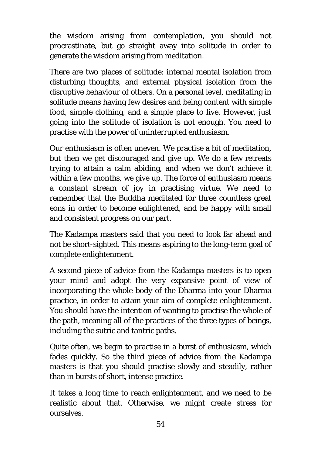the wisdom arising from contemplation, you should not procrastinate, but go straight away into solitude in order to generate the wisdom arising from meditation.

There are two places of solitude: internal mental isolation from disturbing thoughts, and external physical isolation from the disruptive behaviour of others. On a personal level, meditating in solitude means having few desires and being content with simple food, simple clothing, and a simple place to live. However, just going into the solitude of isolation is not enough. You need to practise with the power of uninterrupted enthusiasm.

Our enthusiasm is often uneven. We practise a bit of meditation, but then we get discouraged and give up. We do a few retreats trying to attain a calm abiding, and when we don't achieve it within a few months, we give up. The force of enthusiasm means a constant stream of joy in practising virtue. We need to remember that the Buddha meditated for three countless great eons in order to become enlightened, and be happy with small and consistent progress on our part.

The Kadampa masters said that you need to look far ahead and not be short-sighted. This means aspiring to the long-term goal of complete enlightenment.

A second piece of advice from the Kadampa masters is to open your mind and adopt the very expansive point of view of incorporating the whole body of the Dharma into your Dharma practice, in order to attain your aim of complete enlightenment. You should have the intention of wanting to practise the whole of the path, meaning all of the practices of the three types of beings, including the sutric and tantric paths.

Quite often, we begin to practise in a burst of enthusiasm, which fades quickly. So the third piece of advice from the Kadampa masters is that you should practise slowly and steadily, rather than in bursts of short, intense practice.

It takes a long time to reach enlightenment, and we need to be realistic about that. Otherwise, we might create stress for ourselves.